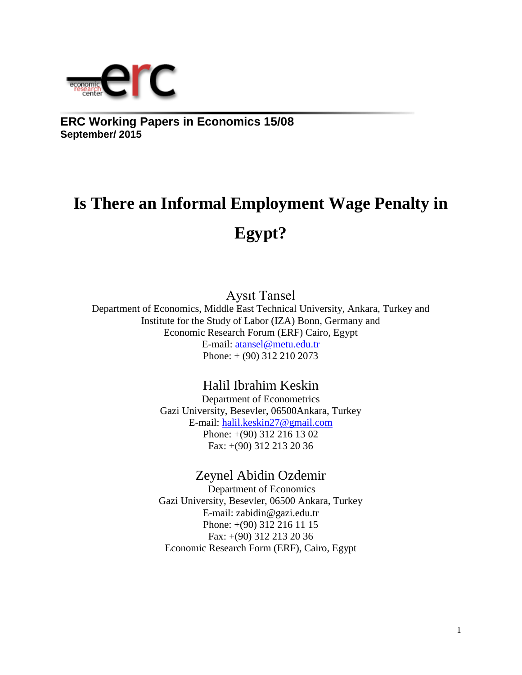

**ERC Working Papers in Economics 15/08 September/ 2015**

# **Is There an Informal Employment Wage Penalty in Egypt?**

Aysıt Tansel

Department of Economics, Middle East Technical University, Ankara, Turkey and Institute for the Study of Labor (IZA) Bonn, Germany and Economic Research Forum (ERF) Cairo, Egypt E-mail: [atansel@metu.edu.tr](mailto:atansel@metu.edu.tr) Phone: + (90) 312 210 2073

## Halil Ibrahim Keskin

Department of Econometrics Gazi University, Besevler, 06500Ankara, Turkey E-mail: [halil.keskin27@gmail.com](mailto:halil.keskin27@gmail.com) Phone: +(90) 312 216 13 02 Fax: +(90) 312 213 20 36

## Zeynel Abidin Ozdemir

Department of Economics Gazi University, Besevler, 06500 Ankara, Turkey E-mail: [zabidin@gazi.edu.tr](mailto:zabidin@gazi.edu.tr) Phone: +(90) 312 216 11 15 Fax: +(90) 312 213 20 36 Economic Research Form (ERF), Cairo, Egypt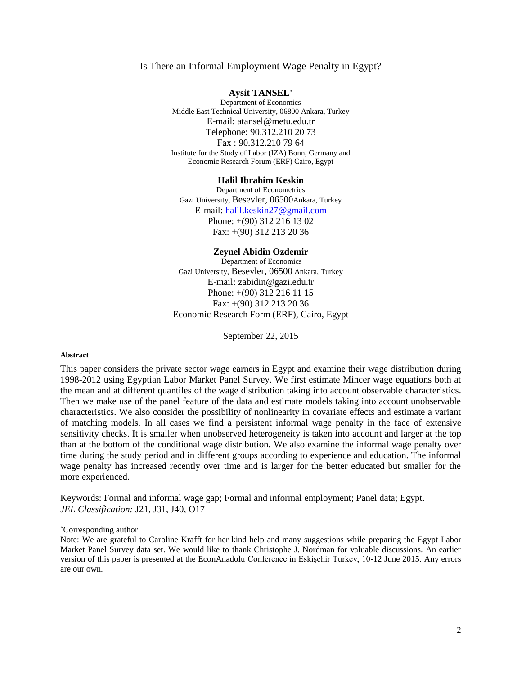#### Is There an Informal Employment Wage Penalty in Egypt?

#### **Aysit TANSEL**

Department of Economics Middle East Technical University, 06800 Ankara, Turkey E-mail: atansel@metu.edu.tr Telephone: 90.312.210 20 73 Fax : 90.312.210 79 64 Institute for the Study of Labor (IZA) Bonn, Germany and Economic Research Forum (ERF) Cairo, Egypt

#### **Halil Ibrahim Keskin**

Department of Econometrics Gazi University, Besevler, 06500Ankara, Turkey E-mail: [halil.keskin27@gmail.com](mailto:halil.keskin27@gmail.com) Phone: +(90) 312 216 13 02 Fax: +(90) 312 213 20 36

#### **Zeynel Abidin Ozdemir**

Department of Economics Gazi University, Besevler, 06500 Ankara, Turkey E-mail: [zabidin@gazi.edu.tr](mailto:zabidin@gazi.edu.tr) Phone: +(90) 312 216 11 15 Fax: +(90) 312 213 20 36 Economic Research Form (ERF), Cairo, Egypt

September 22, 2015

#### **Abstract**

This paper considers the private sector wage earners in Egypt and examine their wage distribution during 1998-2012 using Egyptian Labor Market Panel Survey. We first estimate Mincer wage equations both at the mean and at different quantiles of the wage distribution taking into account observable characteristics. Then we make use of the panel feature of the data and estimate models taking into account unobservable characteristics. We also consider the possibility of nonlinearity in covariate effects and estimate a variant of matching models. In all cases we find a persistent informal wage penalty in the face of extensive sensitivity checks. It is smaller when unobserved heterogeneity is taken into account and larger at the top than at the bottom of the conditional wage distribution. We also examine the informal wage penalty over time during the study period and in different groups according to experience and education. The informal wage penalty has increased recently over time and is larger for the better educated but smaller for the more experienced.

Keywords: Formal and informal wage gap; Formal and informal employment; Panel data; Egypt. *JEL Classification:* J21, J31, J40, O17

#### Corresponding author

Note: We are grateful to Caroline Krafft for her kind help and many suggestions while preparing the Egypt Labor Market Panel Survey data set. We would like to thank Christophe J. Nordman for valuable discussions. An earlier version of this paper is presented at the EconAnadolu Conference in Eskişehir Turkey, 10-12 June 2015. Any errors are our own.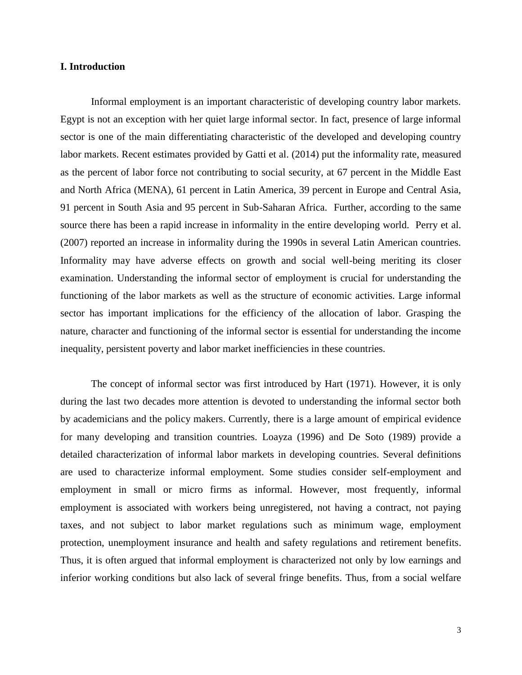#### **I. Introduction**

Informal employment is an important characteristic of developing country labor markets. Egypt is not an exception with her quiet large informal sector. In fact, presence of large informal sector is one of the main differentiating characteristic of the developed and developing country labor markets. Recent estimates provided by Gatti et al. (2014) put the informality rate, measured as the percent of labor force not contributing to social security, at 67 percent in the Middle East and North Africa (MENA), 61 percent in Latin America, 39 percent in Europe and Central Asia, 91 percent in South Asia and 95 percent in Sub-Saharan Africa. Further, according to the same source there has been a rapid increase in informality in the entire developing world. Perry et al. (2007) reported an increase in informality during the 1990s in several Latin American countries. Informality may have adverse effects on growth and social well-being meriting its closer examination. Understanding the informal sector of employment is crucial for understanding the functioning of the labor markets as well as the structure of economic activities. Large informal sector has important implications for the efficiency of the allocation of labor. Grasping the nature, character and functioning of the informal sector is essential for understanding the income inequality, persistent poverty and labor market inefficiencies in these countries.

The concept of informal sector was first introduced by Hart (1971). However, it is only during the last two decades more attention is devoted to understanding the informal sector both by academicians and the policy makers. Currently, there is a large amount of empirical evidence for many developing and transition countries. Loayza (1996) and De Soto (1989) provide a detailed characterization of informal labor markets in developing countries. Several definitions are used to characterize informal employment. Some studies consider self-employment and employment in small or micro firms as informal. However, most frequently, informal employment is associated with workers being unregistered, not having a contract, not paying taxes, and not subject to labor market regulations such as minimum wage, employment protection, unemployment insurance and health and safety regulations and retirement benefits. Thus, it is often argued that informal employment is characterized not only by low earnings and inferior working conditions but also lack of several fringe benefits. Thus, from a social welfare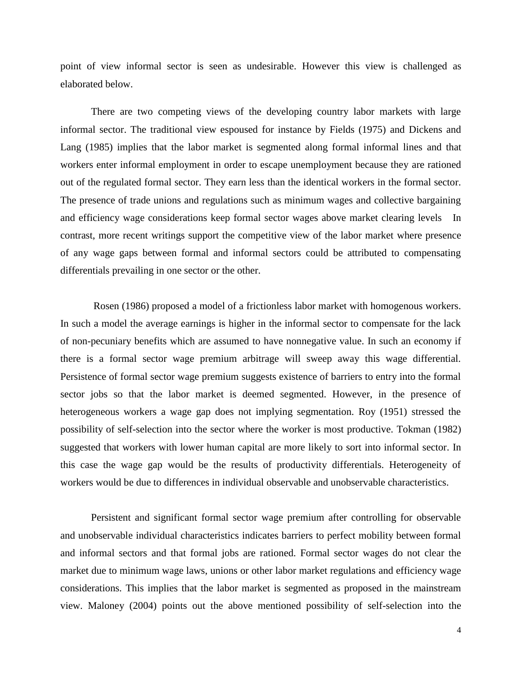point of view informal sector is seen as undesirable. However this view is challenged as elaborated below.

There are two competing views of the developing country labor markets with large informal sector. The traditional view espoused for instance by Fields (1975) and Dickens and Lang (1985) implies that the labor market is segmented along formal informal lines and that workers enter informal employment in order to escape unemployment because they are rationed out of the regulated formal sector. They earn less than the identical workers in the formal sector. The presence of trade unions and regulations such as minimum wages and collective bargaining and efficiency wage considerations keep formal sector wages above market clearing levels In contrast, more recent writings support the competitive view of the labor market where presence of any wage gaps between formal and informal sectors could be attributed to compensating differentials prevailing in one sector or the other.

Rosen (1986) proposed a model of a frictionless labor market with homogenous workers. In such a model the average earnings is higher in the informal sector to compensate for the lack of non-pecuniary benefits which are assumed to have nonnegative value. In such an economy if there is a formal sector wage premium arbitrage will sweep away this wage differential. Persistence of formal sector wage premium suggests existence of barriers to entry into the formal sector jobs so that the labor market is deemed segmented. However, in the presence of heterogeneous workers a wage gap does not implying segmentation. Roy (1951) stressed the possibility of self-selection into the sector where the worker is most productive. Tokman (1982) suggested that workers with lower human capital are more likely to sort into informal sector. In this case the wage gap would be the results of productivity differentials. Heterogeneity of workers would be due to differences in individual observable and unobservable characteristics.

Persistent and significant formal sector wage premium after controlling for observable and unobservable individual characteristics indicates barriers to perfect mobility between formal and informal sectors and that formal jobs are rationed. Formal sector wages do not clear the market due to minimum wage laws, unions or other labor market regulations and efficiency wage considerations. This implies that the labor market is segmented as proposed in the mainstream view. Maloney (2004) points out the above mentioned possibility of self-selection into the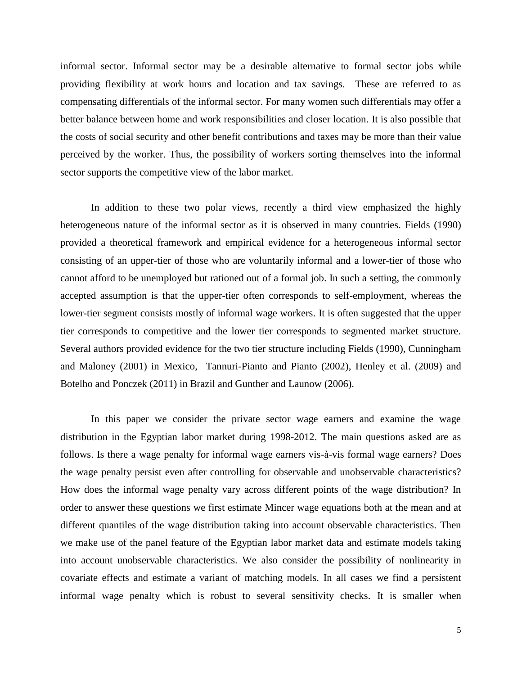informal sector. Informal sector may be a desirable alternative to formal sector jobs while providing flexibility at work hours and location and tax savings. These are referred to as compensating differentials of the informal sector. For many women such differentials may offer a better balance between home and work responsibilities and closer location. It is also possible that the costs of social security and other benefit contributions and taxes may be more than their value perceived by the worker. Thus, the possibility of workers sorting themselves into the informal sector supports the competitive view of the labor market.

In addition to these two polar views, recently a third view emphasized the highly heterogeneous nature of the informal sector as it is observed in many countries. Fields (1990) provided a theoretical framework and empirical evidence for a heterogeneous informal sector consisting of an upper-tier of those who are voluntarily informal and a lower-tier of those who cannot afford to be unemployed but rationed out of a formal job. In such a setting, the commonly accepted assumption is that the upper-tier often corresponds to self-employment, whereas the lower-tier segment consists mostly of informal wage workers. It is often suggested that the upper tier corresponds to competitive and the lower tier corresponds to segmented market structure. Several authors provided evidence for the two tier structure including Fields (1990), Cunningham and Maloney (2001) in Mexico, Tannuri-Pianto and Pianto (2002), Henley et al. (2009) and Botelho and Ponczek (2011) in Brazil and Gunther and Launow (2006).

In this paper we consider the private sector wage earners and examine the wage distribution in the Egyptian labor market during 1998-2012. The main questions asked are as follows. Is there a wage penalty for informal wage earners vis-à-vis formal wage earners? Does the wage penalty persist even after controlling for observable and unobservable characteristics? How does the informal wage penalty vary across different points of the wage distribution? In order to answer these questions we first estimate Mincer wage equations both at the mean and at different quantiles of the wage distribution taking into account observable characteristics. Then we make use of the panel feature of the Egyptian labor market data and estimate models taking into account unobservable characteristics. We also consider the possibility of nonlinearity in covariate effects and estimate a variant of matching models. In all cases we find a persistent informal wage penalty which is robust to several sensitivity checks. It is smaller when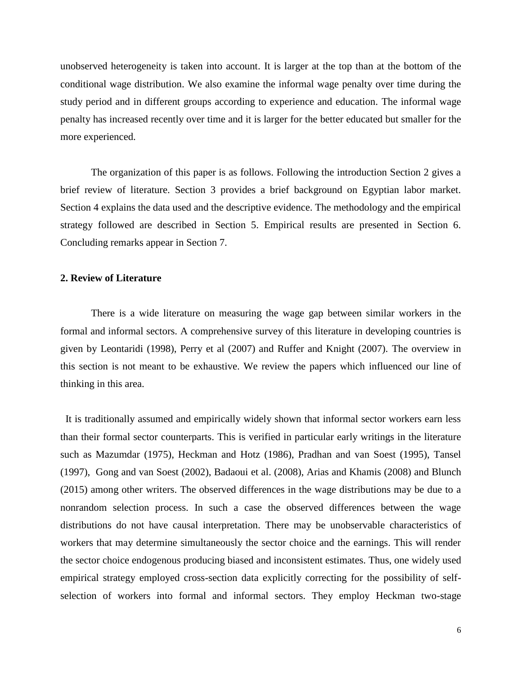unobserved heterogeneity is taken into account. It is larger at the top than at the bottom of the conditional wage distribution. We also examine the informal wage penalty over time during the study period and in different groups according to experience and education. The informal wage penalty has increased recently over time and it is larger for the better educated but smaller for the more experienced.

The organization of this paper is as follows. Following the introduction Section 2 gives a brief review of literature. Section 3 provides a brief background on Egyptian labor market. Section 4 explains the data used and the descriptive evidence. The methodology and the empirical strategy followed are described in Section 5. Empirical results are presented in Section 6. Concluding remarks appear in Section 7.

#### **2. Review of Literature**

There is a wide literature on measuring the wage gap between similar workers in the formal and informal sectors. A comprehensive survey of this literature in developing countries is given by Leontaridi (1998), Perry et al (2007) and Ruffer and Knight (2007). The overview in this section is not meant to be exhaustive. We review the papers which influenced our line of thinking in this area.

It is traditionally assumed and empirically widely shown that informal sector workers earn less than their formal sector counterparts. This is verified in particular early writings in the literature such as Mazumdar (1975), Heckman and Hotz (1986), Pradhan and van Soest (1995), Tansel (1997), Gong and van Soest (2002), Badaoui et al. (2008), Arias and Khamis (2008) and Blunch (2015) among other writers. The observed differences in the wage distributions may be due to a nonrandom selection process. In such a case the observed differences between the wage distributions do not have causal interpretation. There may be unobservable characteristics of workers that may determine simultaneously the sector choice and the earnings. This will render the sector choice endogenous producing biased and inconsistent estimates. Thus, one widely used empirical strategy employed cross-section data explicitly correcting for the possibility of selfselection of workers into formal and informal sectors. They employ Heckman two-stage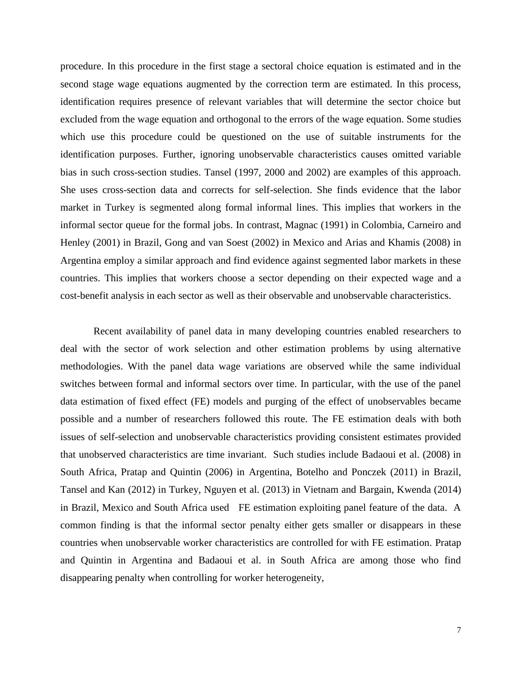procedure. In this procedure in the first stage a sectoral choice equation is estimated and in the second stage wage equations augmented by the correction term are estimated. In this process, identification requires presence of relevant variables that will determine the sector choice but excluded from the wage equation and orthogonal to the errors of the wage equation. Some studies which use this procedure could be questioned on the use of suitable instruments for the identification purposes. Further, ignoring unobservable characteristics causes omitted variable bias in such cross-section studies. Tansel (1997, 2000 and 2002) are examples of this approach. She uses cross-section data and corrects for self-selection. She finds evidence that the labor market in Turkey is segmented along formal informal lines. This implies that workers in the informal sector queue for the formal jobs. In contrast, Magnac (1991) in Colombia, Carneiro and Henley (2001) in Brazil, Gong and van Soest (2002) in Mexico and Arias and Khamis (2008) in Argentina employ a similar approach and find evidence against segmented labor markets in these countries. This implies that workers choose a sector depending on their expected wage and a cost-benefit analysis in each sector as well as their observable and unobservable characteristics.

Recent availability of panel data in many developing countries enabled researchers to deal with the sector of work selection and other estimation problems by using alternative methodologies. With the panel data wage variations are observed while the same individual switches between formal and informal sectors over time. In particular, with the use of the panel data estimation of fixed effect (FE) models and purging of the effect of unobservables became possible and a number of researchers followed this route. The FE estimation deals with both issues of self-selection and unobservable characteristics providing consistent estimates provided that unobserved characteristics are time invariant. Such studies include Badaoui et al. (2008) in South Africa, Pratap and Quintin (2006) in Argentina, Botelho and Ponczek (2011) in Brazil, Tansel and Kan (2012) in Turkey, Nguyen et al. (2013) in Vietnam and Bargain, Kwenda (2014) in Brazil, Mexico and South Africa used FE estimation exploiting panel feature of the data. A common finding is that the informal sector penalty either gets smaller or disappears in these countries when unobservable worker characteristics are controlled for with FE estimation. Pratap and Quintin in Argentina and Badaoui et al. in South Africa are among those who find disappearing penalty when controlling for worker heterogeneity,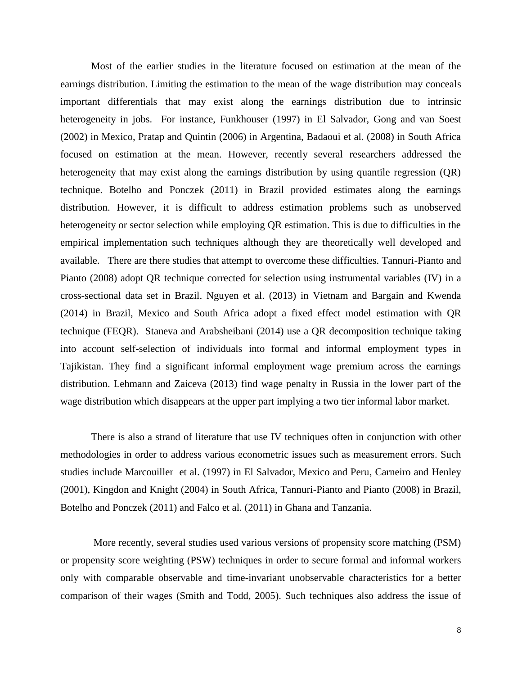Most of the earlier studies in the literature focused on estimation at the mean of the earnings distribution. Limiting the estimation to the mean of the wage distribution may conceals important differentials that may exist along the earnings distribution due to intrinsic heterogeneity in jobs. For instance, Funkhouser (1997) in El Salvador, Gong and van Soest (2002) in Mexico, Pratap and Quintin (2006) in Argentina, Badaoui et al. (2008) in South Africa focused on estimation at the mean. However, recently several researchers addressed the heterogeneity that may exist along the earnings distribution by using quantile regression (QR) technique. Botelho and Ponczek (2011) in Brazil provided estimates along the earnings distribution. However, it is difficult to address estimation problems such as unobserved heterogeneity or sector selection while employing QR estimation. This is due to difficulties in the empirical implementation such techniques although they are theoretically well developed and available. There are there studies that attempt to overcome these difficulties. Tannuri-Pianto and Pianto (2008) adopt QR technique corrected for selection using instrumental variables (IV) in a cross-sectional data set in Brazil. Nguyen et al. (2013) in Vietnam and Bargain and Kwenda (2014) in Brazil, Mexico and South Africa adopt a fixed effect model estimation with QR technique (FEQR). Staneva and Arabsheibani (2014) use a QR decomposition technique taking into account self-selection of individuals into formal and informal employment types in Tajikistan. They find a significant informal employment wage premium across the earnings distribution. Lehmann and Zaiceva (2013) find wage penalty in Russia in the lower part of the wage distribution which disappears at the upper part implying a two tier informal labor market.

There is also a strand of literature that use IV techniques often in conjunction with other methodologies in order to address various econometric issues such as measurement errors. Such studies include Marcouiller et al. (1997) in El Salvador, Mexico and Peru, Carneiro and Henley (2001), Kingdon and Knight (2004) in South Africa, Tannuri-Pianto and Pianto (2008) in Brazil, Botelho and Ponczek (2011) and Falco et al. (2011) in Ghana and Tanzania.

More recently, several studies used various versions of propensity score matching (PSM) or propensity score weighting (PSW) techniques in order to secure formal and informal workers only with comparable observable and time-invariant unobservable characteristics for a better comparison of their wages (Smith and Todd, 2005). Such techniques also address the issue of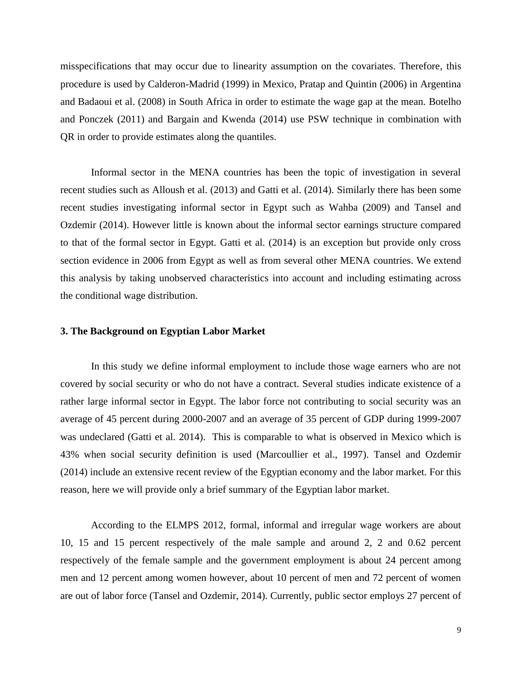misspecifications that may occur due to linearity assumption on the covariates. Therefore, this procedure is used by Calderon-Madrid (1999) in Mexico, Pratap and Quintin (2006) in Argentina and Badaoui et al. (2008) in South Africa in order to estimate the wage gap at the mean. Botelho and Ponczek (2011) and Bargain and Kwenda (2014) use PSW technique in combination with QR in order to provide estimates along the quantiles.

Informal sector in the MENA countries has been the topic of investigation in several recent studies such as Alloush et al. (2013) and Gatti et al. (2014). Similarly there has been some recent studies investigating informal sector in Egypt such as Wahba (2009) and Tansel and Ozdemir (2014). However little is known about the informal sector earnings structure compared to that of the formal sector in Egypt. Gatti et al. (2014) is an exception but provide only cross section evidence in 2006 from Egypt as well as from several other MENA countries. We extend this analysis by taking unobserved characteristics into account and including estimating across the conditional wage distribution.

#### **3. The Background on Egyptian Labor Market**

In this study we define informal employment to include those wage earners who are not covered by social security or who do not have a contract. Several studies indicate existence of a rather large informal sector in Egypt. The labor force not contributing to social security was an average of 45 percent during 2000-2007 and an average of 35 percent of GDP during 1999-2007 was undeclared (Gatti et al. 2014). This is comparable to what is observed in Mexico which is 43% when social security definition is used (Marcoullier et al., 1997). Tansel and Ozdemir (2014) include an extensive recent review of the Egyptian economy and the labor market. For this reason, here we will provide only a brief summary of the Egyptian labor market.

According to the ELMPS 2012, formal, informal and irregular wage workers are about 10, 15 and 15 percent respectively of the male sample and around 2, 2 and 0.62 percent respectively of the female sample and the government employment is about 24 percent among men and 12 percent among women however, about 10 percent of men and 72 percent of women are out of labor force (Tansel and Ozdemir, 2014). Currently, public sector employs 27 percent of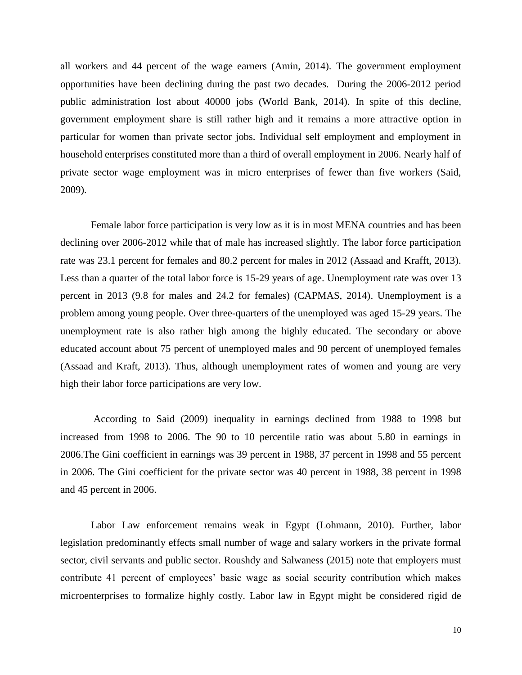all workers and 44 percent of the wage earners (Amin, 2014). The government employment opportunities have been declining during the past two decades. During the 2006-2012 period public administration lost about 40000 jobs (World Bank, 2014). In spite of this decline, government employment share is still rather high and it remains a more attractive option in particular for women than private sector jobs. Individual self employment and employment in household enterprises constituted more than a third of overall employment in 2006. Nearly half of private sector wage employment was in micro enterprises of fewer than five workers (Said, 2009).

Female labor force participation is very low as it is in most MENA countries and has been declining over 2006-2012 while that of male has increased slightly. The labor force participation rate was 23.1 percent for females and 80.2 percent for males in 2012 (Assaad and Krafft, 2013). Less than a quarter of the total labor force is 15-29 years of age. Unemployment rate was over 13 percent in 2013 (9.8 for males and 24.2 for females) (CAPMAS, 2014). Unemployment is a problem among young people. Over three-quarters of the unemployed was aged 15-29 years. The unemployment rate is also rather high among the highly educated. The secondary or above educated account about 75 percent of unemployed males and 90 percent of unemployed females (Assaad and Kraft, 2013). Thus, although unemployment rates of women and young are very high their labor force participations are very low.

According to Said (2009) inequality in earnings declined from 1988 to 1998 but increased from 1998 to 2006. The 90 to 10 percentile ratio was about 5.80 in earnings in 2006.The Gini coefficient in earnings was 39 percent in 1988, 37 percent in 1998 and 55 percent in 2006. The Gini coefficient for the private sector was 40 percent in 1988, 38 percent in 1998 and 45 percent in 2006.

Labor Law enforcement remains weak in Egypt (Lohmann, 2010). Further, labor legislation predominantly effects small number of wage and salary workers in the private formal sector, civil servants and public sector. Roushdy and Salwaness (2015) note that employers must contribute 41 percent of employees' basic wage as social security contribution which makes microenterprises to formalize highly costly. Labor law in Egypt might be considered rigid de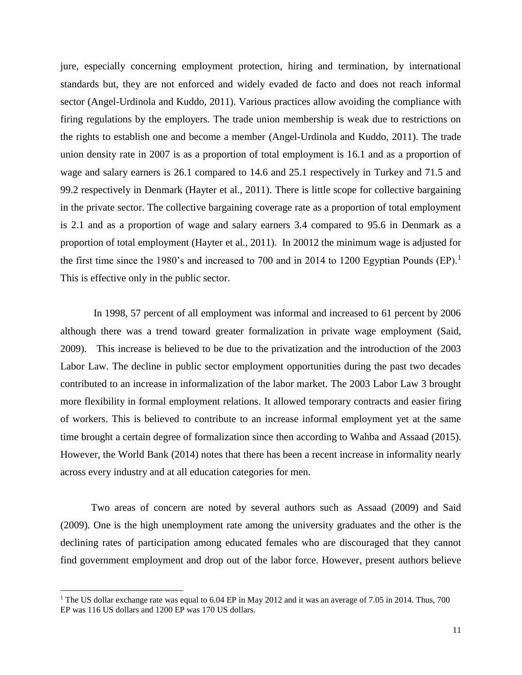jure, especially concerning employment protection, hiring and termination, by international standards but, they are not enforced and widely evaded de facto and does not reach informal sector (Angel-Urdinola and Kuddo, 2011). Various practices allow avoiding the compliance with firing regulations by the employers. The trade union membership is weak due to restrictions on the rights to establish one and become a member (Angel-Urdinola and Kuddo, 2011). The trade union density rate in 2007 is as a proportion of total employment is 16.1 and as a proportion of wage and salary earners is 26.1 compared to 14.6 and 25.1 respectively in Turkey and 71.5 and 99.2 respectively in Denmark (Hayter et al., 2011). There is little scope for collective bargaining in the private sector. The collective bargaining coverage rate as a proportion of total employment is 2.1 and as a proportion of wage and salary earners 3.4 compared to 95.6 in Denmark as a proportion of total employment (Hayter et al., 2011). In 20012 the minimum wage is adjusted for the first time since the 1980's and increased to 700 and in 2014 to 1200 Egyptian Pounds  $(EP)^{1}$ . This is effective only in the public sector.

In 1998, 57 percent of all employment was informal and increased to 61 percent by 2006 although there was a trend toward greater formalization in private wage employment (Said, 2009). This increase is believed to be due to the privatization and the introduction of the 2003 Labor Law. The decline in public sector employment opportunities during the past two decades contributed to an increase in informalization of the labor market. The 2003 Labor Law 3 brought more flexibility in formal employment relations. It allowed temporary contracts and easier firing of workers. This is believed to contribute to an increase informal employment yet at the same time brought a certain degree of formalization since then according to Wahba and Assaad (2015). However, the World Bank (2014) notes that there has been a recent increase in informality nearly across every industry and at all education categories for men.

Two areas of concern are noted by several authors such as Assaad (2009) and Said (2009). One is the high unemployment rate among the university graduates and the other is the declining rates of participation among educated females who are discouraged that they cannot find government employment and drop out of the labor force. However, present authors believe

<sup>&</sup>lt;sup>1</sup> The US dollar exchange rate was equal to 6.04 EP in May 2012 and it was an average of 7.05 in 2014. Thus, 700 EP was 116 US dollars and 1200 EP was 170 US dollars.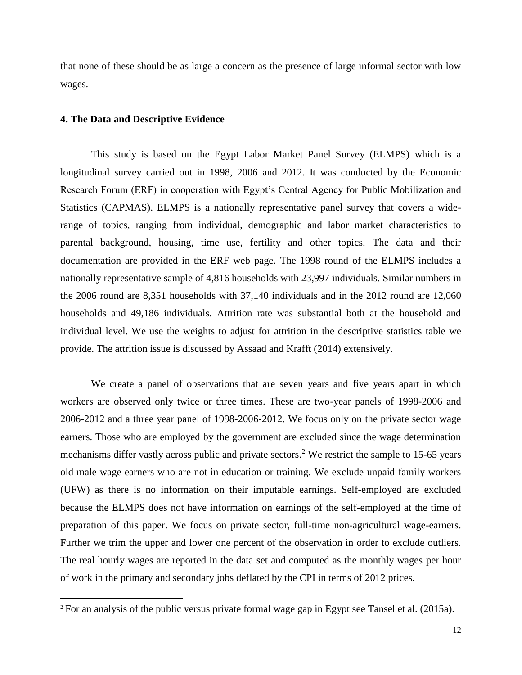that none of these should be as large a concern as the presence of large informal sector with low wages.

#### **4. The Data and Descriptive Evidence**

 $\overline{a}$ 

This study is based on the Egypt Labor Market Panel Survey (ELMPS) which is a longitudinal survey carried out in 1998, 2006 and 2012. It was conducted by the Economic Research Forum (ERF) in cooperation with Egypt's Central Agency for Public Mobilization and Statistics (CAPMAS). ELMPS is a nationally representative panel survey that covers a widerange of topics, ranging from individual, demographic and labor market characteristics to parental background, housing, time use, fertility and other topics. The data and their documentation are provided in the ERF web page. The 1998 round of the ELMPS includes a nationally representative sample of 4,816 households with 23,997 individuals. Similar numbers in the 2006 round are 8,351 households with 37,140 individuals and in the 2012 round are 12,060 households and 49,186 individuals. Attrition rate was substantial both at the household and individual level. We use the weights to adjust for attrition in the descriptive statistics table we provide. The attrition issue is discussed by Assaad and Krafft (2014) extensively.

We create a panel of observations that are seven years and five years apart in which workers are observed only twice or three times. These are two-year panels of 1998-2006 and 2006-2012 and a three year panel of 1998-2006-2012. We focus only on the private sector wage earners. Those who are employed by the government are excluded since the wage determination mechanisms differ vastly across public and private sectors.<sup>2</sup> We restrict the sample to 15-65 years old male wage earners who are not in education or training. We exclude unpaid family workers (UFW) as there is no information on their imputable earnings. Self-employed are excluded because the ELMPS does not have information on earnings of the self-employed at the time of preparation of this paper. We focus on private sector, full-time non-agricultural wage-earners. Further we trim the upper and lower one percent of the observation in order to exclude outliers. The real hourly wages are reported in the data set and computed as the monthly wages per hour of work in the primary and secondary jobs deflated by the CPI in terms of 2012 prices.

<sup>2</sup> For an analysis of the public versus private formal wage gap in Egypt see Tansel et al. (2015a).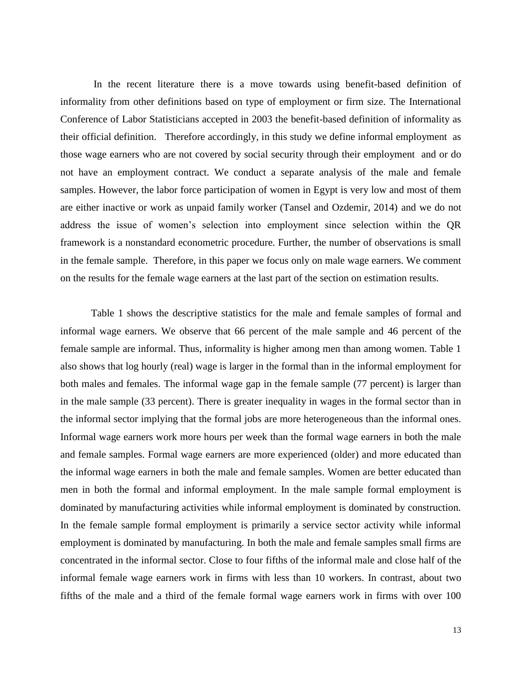In the recent literature there is a move towards using benefit-based definition of informality from other definitions based on type of employment or firm size. The International Conference of Labor Statisticians accepted in 2003 the benefit-based definition of informality as their official definition. Therefore accordingly, in this study we define informal employment as those wage earners who are not covered by social security through their employment and or do not have an employment contract. We conduct a separate analysis of the male and female samples. However, the labor force participation of women in Egypt is very low and most of them are either inactive or work as unpaid family worker (Tansel and Ozdemir, 2014) and we do not address the issue of women's selection into employment since selection within the QR framework is a nonstandard econometric procedure. Further, the number of observations is small in the female sample. Therefore, in this paper we focus only on male wage earners. We comment on the results for the female wage earners at the last part of the section on estimation results.

Table 1 shows the descriptive statistics for the male and female samples of formal and informal wage earners. We observe that 66 percent of the male sample and 46 percent of the female sample are informal. Thus, informality is higher among men than among women. Table 1 also shows that log hourly (real) wage is larger in the formal than in the informal employment for both males and females. The informal wage gap in the female sample (77 percent) is larger than in the male sample (33 percent). There is greater inequality in wages in the formal sector than in the informal sector implying that the formal jobs are more heterogeneous than the informal ones. Informal wage earners work more hours per week than the formal wage earners in both the male and female samples. Formal wage earners are more experienced (older) and more educated than the informal wage earners in both the male and female samples. Women are better educated than men in both the formal and informal employment. In the male sample formal employment is dominated by manufacturing activities while informal employment is dominated by construction. In the female sample formal employment is primarily a service sector activity while informal employment is dominated by manufacturing. In both the male and female samples small firms are concentrated in the informal sector. Close to four fifths of the informal male and close half of the informal female wage earners work in firms with less than 10 workers. In contrast, about two fifths of the male and a third of the female formal wage earners work in firms with over 100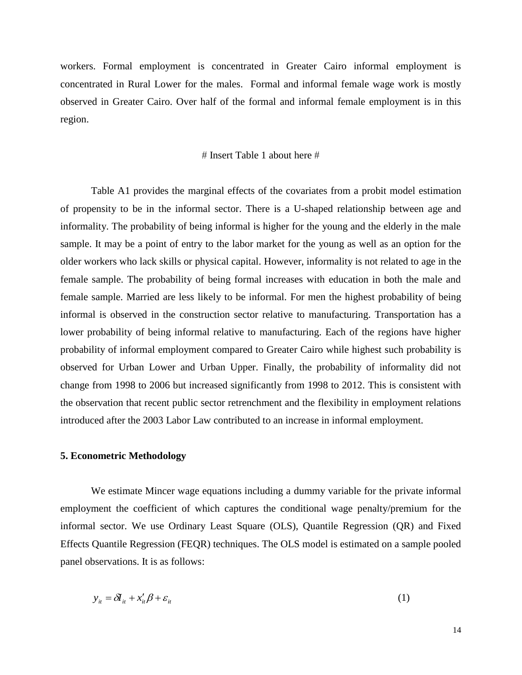workers. Formal employment is concentrated in Greater Cairo informal employment is concentrated in Rural Lower for the males. Formal and informal female wage work is mostly observed in Greater Cairo. Over half of the formal and informal female employment is in this region.

#### $#$  Insert Table 1 about here  $#$

Table A1 provides the marginal effects of the covariates from a probit model estimation of propensity to be in the informal sector. There is a U-shaped relationship between age and informality. The probability of being informal is higher for the young and the elderly in the male sample. It may be a point of entry to the labor market for the young as well as an option for the older workers who lack skills or physical capital. However, informality is not related to age in the female sample. The probability of being formal increases with education in both the male and female sample. Married are less likely to be informal. For men the highest probability of being informal is observed in the construction sector relative to manufacturing. Transportation has a lower probability of being informal relative to manufacturing. Each of the regions have higher probability of informal employment compared to Greater Cairo while highest such probability is observed for Urban Lower and Urban Upper. Finally, the probability of informality did not change from 1998 to 2006 but increased significantly from 1998 to 2012. This is consistent with the observation that recent public sector retrenchment and the flexibility in employment relations introduced after the 2003 Labor Law contributed to an increase in informal employment.

#### **5. Econometric Methodology**

We estimate Mincer wage equations including a dummy variable for the private informal employment the coefficient of which captures the conditional wage penalty/premium for the informal sector. We use Ordinary Least Square (OLS), Quantile Regression (QR) and Fixed Effects Quantile Regression (FEQR) techniques. The OLS model is estimated on a sample pooled panel observations. It is as follows:

$$
y_{it} = \delta I_{it} + x_{it}' \beta + \varepsilon_{it}
$$
 (1)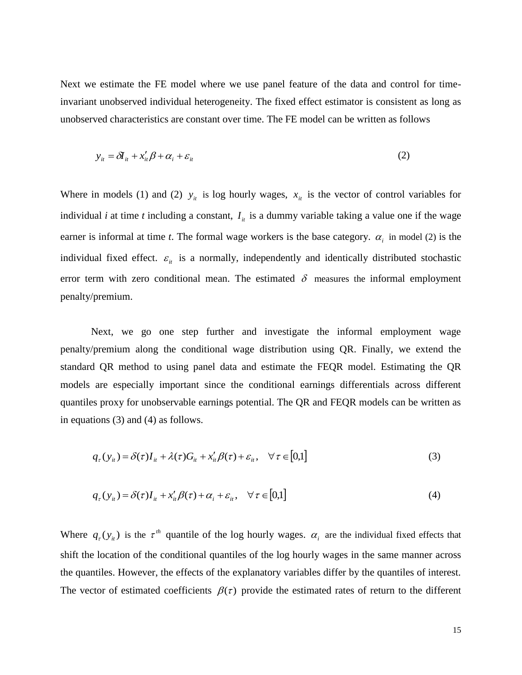Next we estimate the FE model where we use panel feature of the data and control for timeinvariant unobserved individual heterogeneity. The fixed effect estimator is consistent as long as unobserved characteristics are constant over time. The FE model can be written as follows

$$
y_{it} = \delta I_{it} + x_{it}' \beta + \alpha_i + \varepsilon_{it}
$$
 (2)

Where in models (1) and (2)  $y_i$  is log hourly wages,  $x_i$  is the vector of control variables for individual *i* at time *t* including a constant,  $I_{ii}$  is a dummy variable taking a value one if the wage earner is informal at time *t*. The formal wage workers is the base category.  $\alpha_i$  in model (2) is the individual fixed effect.  $\varepsilon_{it}$  is a normally, independently and identically distributed stochastic error term with zero conditional mean. The estimated  $\delta$  measures the informal employment penalty/premium.

Next, we go one step further and investigate the informal employment wage penalty/premium along the conditional wage distribution using QR. Finally, we extend the standard QR method to using panel data and estimate the FEQR model. Estimating the QR models are especially important since the conditional earnings differentials across different quantiles proxy for unobservable earnings potential. The QR and FEQR models can be written as in equations (3) and (4) as follows.

$$
q_{\tau}(y_{it}) = \delta(\tau)I_{it} + \lambda(\tau)G_{it} + x_{it}'\beta(\tau) + \varepsilon_{it}, \quad \forall \tau \in [0,1]
$$
\n(3)

$$
q_{\tau}(y_{it}) = \delta(\tau)I_{it} + x_{it}'\beta(\tau) + \alpha_i + \varepsilon_{it}, \quad \forall \tau \in [0,1]
$$
\n
$$
\tag{4}
$$

Where  $q_r(y_{it})$  is the  $\tau^{th}$  quantile of the log hourly wages.  $\alpha_i$  are the individual fixed effects that shift the location of the conditional quantiles of the log hourly wages in the same manner across the quantiles. However, the effects of the explanatory variables differ by the quantiles of interest. The vector of estimated coefficients  $\beta(\tau)$  provide the estimated rates of return to the different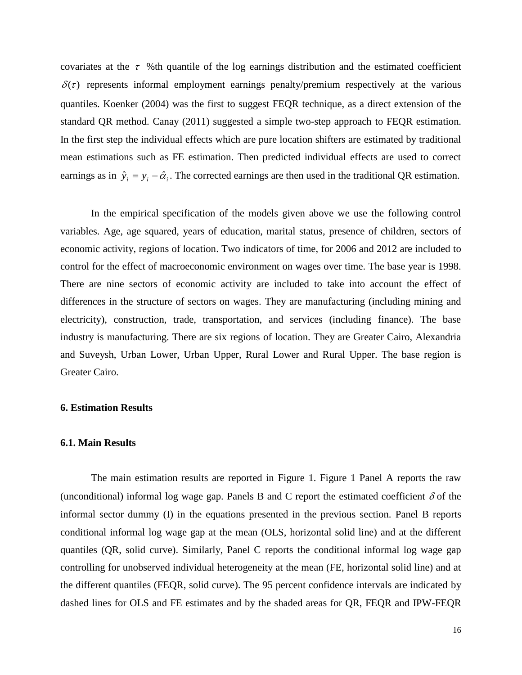covariates at the  $\tau$  %th quantile of the log earnings distribution and the estimated coefficient  $\delta(\tau)$  represents informal employment earnings penalty/premium respectively at the various quantiles. Koenker (2004) was the first to suggest FEQR technique, as a direct extension of the standard QR method. Canay (2011) suggested a simple two-step approach to FEQR estimation. In the first step the individual effects which are pure location shifters are estimated by traditional mean estimations such as FE estimation. Then predicted individual effects are used to correct earnings as in  $\hat{y}_i = y_i - \hat{\alpha}_i$ . The corrected earnings are then used in the traditional QR estimation.

In the empirical specification of the models given above we use the following control variables. Age, age squared, years of education, marital status, presence of children, sectors of economic activity, regions of location. Two indicators of time, for 2006 and 2012 are included to control for the effect of macroeconomic environment on wages over time. The base year is 1998. There are nine sectors of economic activity are included to take into account the effect of differences in the structure of sectors on wages. They are manufacturing (including mining and electricity), construction, trade, transportation, and services (including finance). The base industry is manufacturing. There are six regions of location. They are Greater Cairo, Alexandria and Suveysh, Urban Lower, Urban Upper, Rural Lower and Rural Upper. The base region is Greater Cairo.

#### **6. Estimation Results**

#### **6.1. Main Results**

The main estimation results are reported in Figure 1. Figure 1 Panel A reports the raw (unconditional) informal log wage gap. Panels B and C report the estimated coefficient  $\delta$  of the informal sector dummy (I) in the equations presented in the previous section. Panel B reports conditional informal log wage gap at the mean (OLS, horizontal solid line) and at the different quantiles (QR, solid curve). Similarly, Panel C reports the conditional informal log wage gap controlling for unobserved individual heterogeneity at the mean (FE, horizontal solid line) and at the different quantiles (FEQR, solid curve). The 95 percent confidence intervals are indicated by dashed lines for OLS and FE estimates and by the shaded areas for QR, FEQR and IPW-FEQR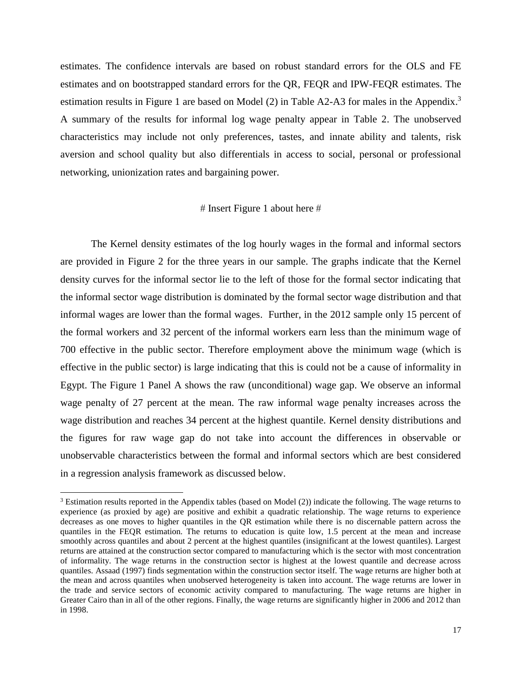estimates. The confidence intervals are based on robust standard errors for the OLS and FE estimates and on bootstrapped standard errors for the QR, FEQR and IPW-FEQR estimates. The estimation results in Figure 1 are based on Model (2) in Table A2-A3 for males in the Appendix.<sup>3</sup> A summary of the results for informal log wage penalty appear in Table 2. The unobserved characteristics may include not only preferences, tastes, and innate ability and talents, risk aversion and school quality but also differentials in access to social, personal or professional networking, unionization rates and bargaining power.

#### $#$  Insert Figure 1 about here  $#$

The Kernel density estimates of the log hourly wages in the formal and informal sectors are provided in Figure 2 for the three years in our sample. The graphs indicate that the Kernel density curves for the informal sector lie to the left of those for the formal sector indicating that the informal sector wage distribution is dominated by the formal sector wage distribution and that informal wages are lower than the formal wages. Further, in the 2012 sample only 15 percent of the formal workers and 32 percent of the informal workers earn less than the minimum wage of 700 effective in the public sector. Therefore employment above the minimum wage (which is effective in the public sector) is large indicating that this is could not be a cause of informality in Egypt. The Figure 1 Panel A shows the raw (unconditional) wage gap. We observe an informal wage penalty of 27 percent at the mean. The raw informal wage penalty increases across the wage distribution and reaches 34 percent at the highest quantile. Kernel density distributions and the figures for raw wage gap do not take into account the differences in observable or unobservable characteristics between the formal and informal sectors which are best considered in a regression analysis framework as discussed below.

<sup>&</sup>lt;sup>3</sup> Estimation results reported in the Appendix tables (based on Model (2)) indicate the following. The wage returns to experience (as proxied by age) are positive and exhibit a quadratic relationship. The wage returns to experience decreases as one moves to higher quantiles in the QR estimation while there is no discernable pattern across the quantiles in the FEQR estimation. The returns to education is quite low, 1.5 percent at the mean and increase smoothly across quantiles and about 2 percent at the highest quantiles (insignificant at the lowest quantiles). Largest returns are attained at the construction sector compared to manufacturing which is the sector with most concentration of informality. The wage returns in the construction sector is highest at the lowest quantile and decrease across quantiles. Assaad (1997) finds segmentation within the construction sector itself. The wage returns are higher both at the mean and across quantiles when unobserved heterogeneity is taken into account. The wage returns are lower in the trade and service sectors of economic activity compared to manufacturing. The wage returns are higher in Greater Cairo than in all of the other regions. Finally, the wage returns are significantly higher in 2006 and 2012 than in 1998.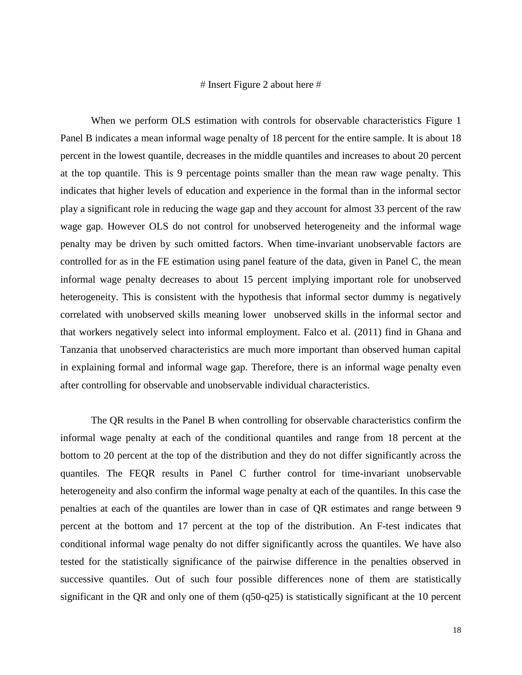#### $#$  Insert Figure 2 about here  $#$

When we perform OLS estimation with controls for observable characteristics Figure 1 Panel B indicates a mean informal wage penalty of 18 percent for the entire sample. It is about 18 percent in the lowest quantile, decreases in the middle quantiles and increases to about 20 percent at the top quantile. This is 9 percentage points smaller than the mean raw wage penalty. This indicates that higher levels of education and experience in the formal than in the informal sector play a significant role in reducing the wage gap and they account for almost 33 percent of the raw wage gap. However OLS do not control for unobserved heterogeneity and the informal wage penalty may be driven by such omitted factors. When time-invariant unobservable factors are controlled for as in the FE estimation using panel feature of the data, given in Panel C, the mean informal wage penalty decreases to about 15 percent implying important role for unobserved heterogeneity. This is consistent with the hypothesis that informal sector dummy is negatively correlated with unobserved skills meaning lower unobserved skills in the informal sector and that workers negatively select into informal employment. Falco et al. (2011) find in Ghana and Tanzania that unobserved characteristics are much more important than observed human capital in explaining formal and informal wage gap. Therefore, there is an informal wage penalty even after controlling for observable and unobservable individual characteristics.

The QR results in the Panel B when controlling for observable characteristics confirm the informal wage penalty at each of the conditional quantiles and range from 18 percent at the bottom to 20 percent at the top of the distribution and they do not differ significantly across the quantiles. The FEQR results in Panel C further control for time-invariant unobservable heterogeneity and also confirm the informal wage penalty at each of the quantiles. In this case the penalties at each of the quantiles are lower than in case of QR estimates and range between 9 percent at the bottom and 17 percent at the top of the distribution. An F-test indicates that conditional informal wage penalty do not differ significantly across the quantiles. We have also tested for the statistically significance of the pairwise difference in the penalties observed in successive quantiles. Out of such four possible differences none of them are statistically significant in the QR and only one of them (q50-q25) is statistically significant at the 10 percent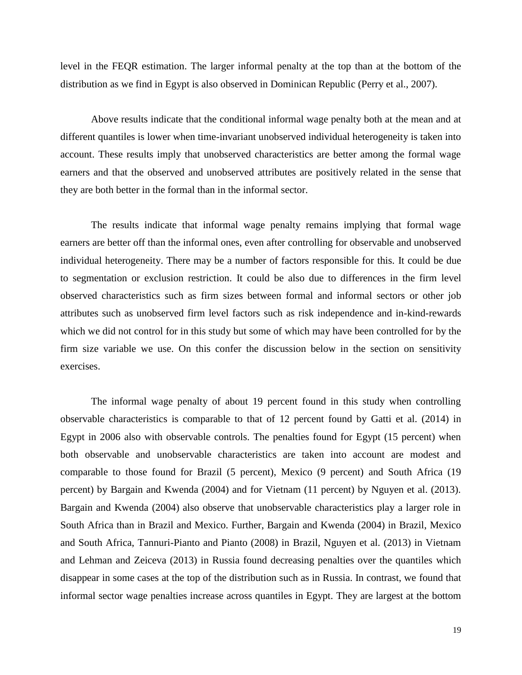level in the FEQR estimation. The larger informal penalty at the top than at the bottom of the distribution as we find in Egypt is also observed in Dominican Republic (Perry et al., 2007).

Above results indicate that the conditional informal wage penalty both at the mean and at different quantiles is lower when time-invariant unobserved individual heterogeneity is taken into account. These results imply that unobserved characteristics are better among the formal wage earners and that the observed and unobserved attributes are positively related in the sense that they are both better in the formal than in the informal sector.

The results indicate that informal wage penalty remains implying that formal wage earners are better off than the informal ones, even after controlling for observable and unobserved individual heterogeneity. There may be a number of factors responsible for this. It could be due to segmentation or exclusion restriction. It could be also due to differences in the firm level observed characteristics such as firm sizes between formal and informal sectors or other job attributes such as unobserved firm level factors such as risk independence and in-kind-rewards which we did not control for in this study but some of which may have been controlled for by the firm size variable we use. On this confer the discussion below in the section on sensitivity exercises.

The informal wage penalty of about 19 percent found in this study when controlling observable characteristics is comparable to that of 12 percent found by Gatti et al. (2014) in Egypt in 2006 also with observable controls. The penalties found for Egypt (15 percent) when both observable and unobservable characteristics are taken into account are modest and comparable to those found for Brazil (5 percent), Mexico (9 percent) and South Africa (19 percent) by Bargain and Kwenda (2004) and for Vietnam (11 percent) by Nguyen et al. (2013). Bargain and Kwenda (2004) also observe that unobservable characteristics play a larger role in South Africa than in Brazil and Mexico. Further, Bargain and Kwenda (2004) in Brazil, Mexico and South Africa, Tannuri-Pianto and Pianto (2008) in Brazil, Nguyen et al. (2013) in Vietnam and Lehman and Zeiceva (2013) in Russia found decreasing penalties over the quantiles which disappear in some cases at the top of the distribution such as in Russia. In contrast, we found that informal sector wage penalties increase across quantiles in Egypt. They are largest at the bottom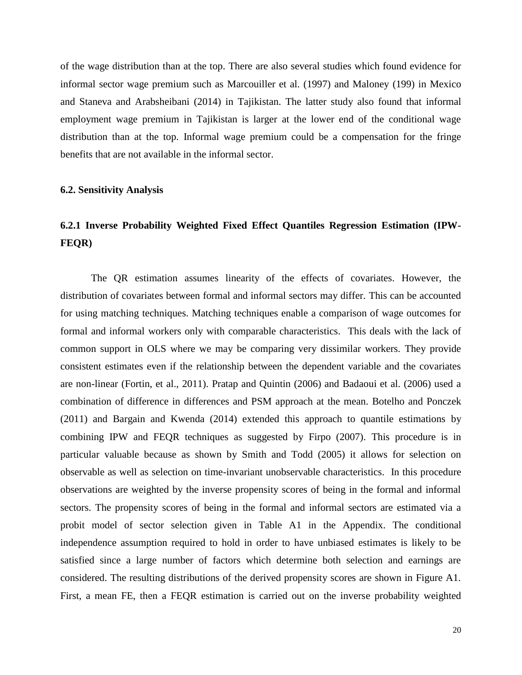of the wage distribution than at the top. There are also several studies which found evidence for informal sector wage premium such as Marcouiller et al. (1997) and Maloney (199) in Mexico and Staneva and Arabsheibani (2014) in Tajikistan. The latter study also found that informal employment wage premium in Tajikistan is larger at the lower end of the conditional wage distribution than at the top. Informal wage premium could be a compensation for the fringe benefits that are not available in the informal sector.

#### **6.2. Sensitivity Analysis**

## **6.2.1 Inverse Probability Weighted Fixed Effect Quantiles Regression Estimation (IPW-FEQR)**

The QR estimation assumes linearity of the effects of covariates. However, the distribution of covariates between formal and informal sectors may differ. This can be accounted for using matching techniques. Matching techniques enable a comparison of wage outcomes for formal and informal workers only with comparable characteristics. This deals with the lack of common support in OLS where we may be comparing very dissimilar workers. They provide consistent estimates even if the relationship between the dependent variable and the covariates are non-linear (Fortin, et al., 2011). Pratap and Quintin (2006) and Badaoui et al. (2006) used a combination of difference in differences and PSM approach at the mean. Botelho and Ponczek (2011) and Bargain and Kwenda (2014) extended this approach to quantile estimations by combining IPW and FEQR techniques as suggested by Firpo (2007). This procedure is in particular valuable because as shown by Smith and Todd (2005) it allows for selection on observable as well as selection on time-invariant unobservable characteristics. In this procedure observations are weighted by the inverse propensity scores of being in the formal and informal sectors. The propensity scores of being in the formal and informal sectors are estimated via a probit model of sector selection given in Table A1 in the Appendix. The conditional independence assumption required to hold in order to have unbiased estimates is likely to be satisfied since a large number of factors which determine both selection and earnings are considered. The resulting distributions of the derived propensity scores are shown in Figure A1. First, a mean FE, then a FEQR estimation is carried out on the inverse probability weighted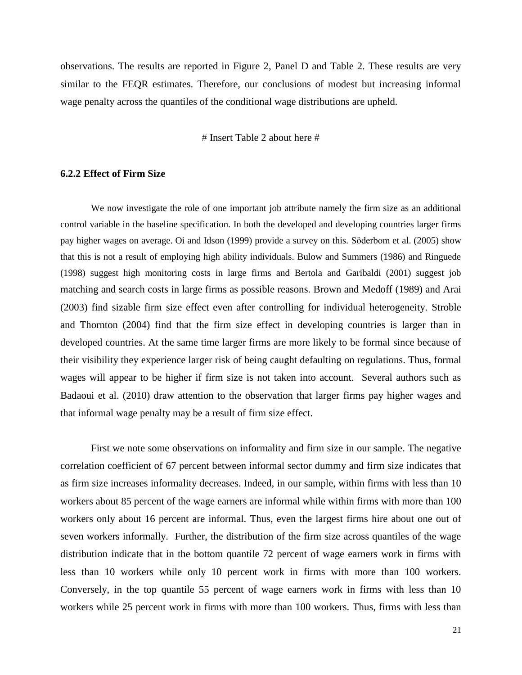observations. The results are reported in Figure 2, Panel D and Table 2. These results are very similar to the FEQR estimates. Therefore, our conclusions of modest but increasing informal wage penalty across the quantiles of the conditional wage distributions are upheld.

 $#$  Insert Table 2 about here  $#$ 

#### **6.2.2 Effect of Firm Size**

We now investigate the role of one important job attribute namely the firm size as an additional control variable in the baseline specification. In both the developed and developing countries larger firms pay higher wages on average. Oi and Idson (1999) provide a survey on this. Söderbom et al. (2005) show that this is not a result of employing high ability individuals. Bulow and Summers (1986) and Ringuede (1998) suggest high monitoring costs in large firms and Bertola and Garibaldi (2001) suggest job matching and search costs in large firms as possible reasons. Brown and Medoff (1989) and Arai (2003) find sizable firm size effect even after controlling for individual heterogeneity. Stroble and Thornton (2004) find that the firm size effect in developing countries is larger than in developed countries. At the same time larger firms are more likely to be formal since because of their visibility they experience larger risk of being caught defaulting on regulations. Thus, formal wages will appear to be higher if firm size is not taken into account. Several authors such as Badaoui et al. (2010) draw attention to the observation that larger firms pay higher wages and that informal wage penalty may be a result of firm size effect.

First we note some observations on informality and firm size in our sample. The negative correlation coefficient of 67 percent between informal sector dummy and firm size indicates that as firm size increases informality decreases. Indeed, in our sample, within firms with less than 10 workers about 85 percent of the wage earners are informal while within firms with more than 100 workers only about 16 percent are informal. Thus, even the largest firms hire about one out of seven workers informally. Further, the distribution of the firm size across quantiles of the wage distribution indicate that in the bottom quantile 72 percent of wage earners work in firms with less than 10 workers while only 10 percent work in firms with more than 100 workers. Conversely, in the top quantile 55 percent of wage earners work in firms with less than 10 workers while 25 percent work in firms with more than 100 workers. Thus, firms with less than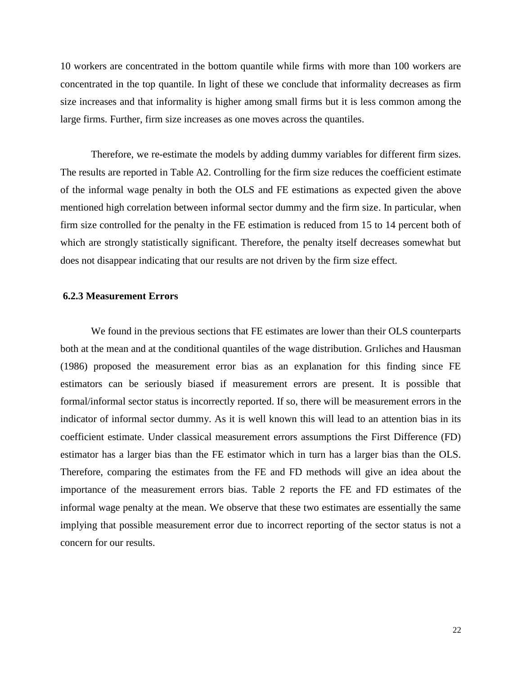10 workers are concentrated in the bottom quantile while firms with more than 100 workers are concentrated in the top quantile. In light of these we conclude that informality decreases as firm size increases and that informality is higher among small firms but it is less common among the large firms. Further, firm size increases as one moves across the quantiles.

Therefore, we re-estimate the models by adding dummy variables for different firm sizes. The results are reported in Table A2. Controlling for the firm size reduces the coefficient estimate of the informal wage penalty in both the OLS and FE estimations as expected given the above mentioned high correlation between informal sector dummy and the firm size. In particular, when firm size controlled for the penalty in the FE estimation is reduced from 15 to 14 percent both of which are strongly statistically significant. Therefore, the penalty itself decreases somewhat but does not disappear indicating that our results are not driven by the firm size effect.

#### **6.2.3 Measurement Errors**

We found in the previous sections that FE estimates are lower than their OLS counterparts both at the mean and at the conditional quantiles of the wage distribution. Grıliches and Hausman (1986) proposed the measurement error bias as an explanation for this finding since FE estimators can be seriously biased if measurement errors are present. It is possible that formal/informal sector status is incorrectly reported. If so, there will be measurement errors in the indicator of informal sector dummy. As it is well known this will lead to an attention bias in its coefficient estimate. Under classical measurement errors assumptions the First Difference (FD) estimator has a larger bias than the FE estimator which in turn has a larger bias than the OLS. Therefore, comparing the estimates from the FE and FD methods will give an idea about the importance of the measurement errors bias. Table 2 reports the FE and FD estimates of the informal wage penalty at the mean. We observe that these two estimates are essentially the same implying that possible measurement error due to incorrect reporting of the sector status is not a concern for our results.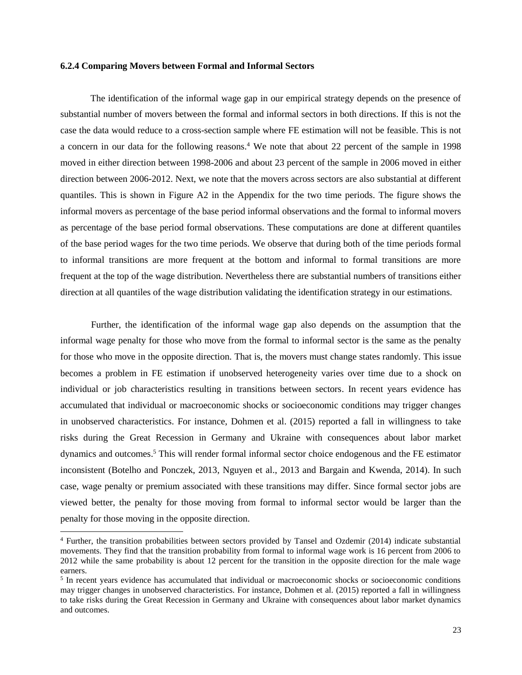#### **6.2.4 Comparing Movers between Formal and Informal Sectors**

The identification of the informal wage gap in our empirical strategy depends on the presence of substantial number of movers between the formal and informal sectors in both directions. If this is not the case the data would reduce to a cross-section sample where FE estimation will not be feasible. This is not a concern in our data for the following reasons.<sup>4</sup> We note that about 22 percent of the sample in 1998 moved in either direction between 1998-2006 and about 23 percent of the sample in 2006 moved in either direction between 2006-2012. Next, we note that the movers across sectors are also substantial at different quantiles. This is shown in Figure A2 in the Appendix for the two time periods. The figure shows the informal movers as percentage of the base period informal observations and the formal to informal movers as percentage of the base period formal observations. These computations are done at different quantiles of the base period wages for the two time periods. We observe that during both of the time periods formal to informal transitions are more frequent at the bottom and informal to formal transitions are more frequent at the top of the wage distribution. Nevertheless there are substantial numbers of transitions either direction at all quantiles of the wage distribution validating the identification strategy in our estimations.

Further, the identification of the informal wage gap also depends on the assumption that the informal wage penalty for those who move from the formal to informal sector is the same as the penalty for those who move in the opposite direction. That is, the movers must change states randomly. This issue becomes a problem in FE estimation if unobserved heterogeneity varies over time due to a shock on individual or job characteristics resulting in transitions between sectors. In recent years evidence has accumulated that individual or macroeconomic shocks or socioeconomic conditions may trigger changes in unobserved characteristics. For instance, Dohmen et al. (2015) reported a fall in willingness to take risks during the Great Recession in Germany and Ukraine with consequences about labor market dynamics and outcomes. <sup>5</sup> This will render formal informal sector choice endogenous and the FE estimator inconsistent (Botelho and Ponczek, 2013, Nguyen et al., 2013 and Bargain and Kwenda, 2014). In such case, wage penalty or premium associated with these transitions may differ. Since formal sector jobs are viewed better, the penalty for those moving from formal to informal sector would be larger than the penalty for those moving in the opposite direction.

<sup>4</sup> Further, the transition probabilities between sectors provided by Tansel and Ozdemir (2014) indicate substantial movements. They find that the transition probability from formal to informal wage work is 16 percent from 2006 to 2012 while the same probability is about 12 percent for the transition in the opposite direction for the male wage earners.

<sup>&</sup>lt;sup>5</sup> In recent years evidence has accumulated that individual or macroeconomic shocks or socioeconomic conditions may trigger changes in unobserved characteristics. For instance, Dohmen et al. (2015) reported a fall in willingness to take risks during the Great Recession in Germany and Ukraine with consequences about labor market dynamics and outcomes.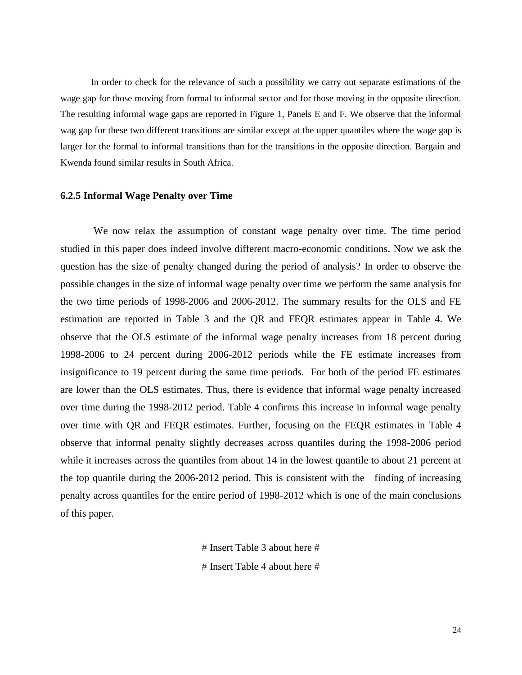In order to check for the relevance of such a possibility we carry out separate estimations of the wage gap for those moving from formal to informal sector and for those moving in the opposite direction. The resulting informal wage gaps are reported in Figure 1, Panels E and F. We observe that the informal wag gap for these two different transitions are similar except at the upper quantiles where the wage gap is larger for the formal to informal transitions than for the transitions in the opposite direction. Bargain and Kwenda found similar results in South Africa.

#### **6.2.5 Informal Wage Penalty over Time**

We now relax the assumption of constant wage penalty over time. The time period studied in this paper does indeed involve different macro-economic conditions. Now we ask the question has the size of penalty changed during the period of analysis? In order to observe the possible changes in the size of informal wage penalty over time we perform the same analysis for the two time periods of 1998-2006 and 2006-2012. The summary results for the OLS and FE estimation are reported in Table 3 and the QR and FEQR estimates appear in Table 4. We observe that the OLS estimate of the informal wage penalty increases from 18 percent during 1998-2006 to 24 percent during 2006-2012 periods while the FE estimate increases from insignificance to 19 percent during the same time periods. For both of the period FE estimates are lower than the OLS estimates. Thus, there is evidence that informal wage penalty increased over time during the 1998-2012 period. Table 4 confirms this increase in informal wage penalty over time with QR and FEQR estimates. Further, focusing on the FEQR estimates in Table 4 observe that informal penalty slightly decreases across quantiles during the 1998-2006 period while it increases across the quantiles from about 14 in the lowest quantile to about 21 percent at the top quantile during the 2006-2012 period. This is consistent with the finding of increasing penalty across quantiles for the entire period of 1998-2012 which is one of the main conclusions of this paper.

> $#$  Insert Table 3 about here  $#$  $#$  Insert Table 4 about here  $#$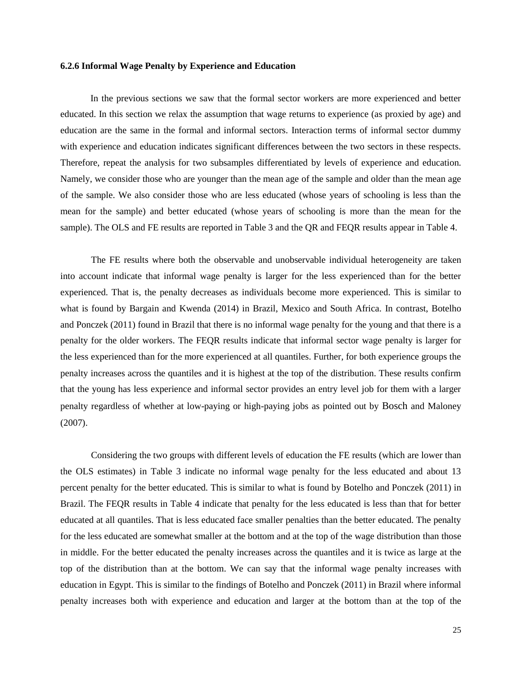#### **6.2.6 Informal Wage Penalty by Experience and Education**

In the previous sections we saw that the formal sector workers are more experienced and better educated. In this section we relax the assumption that wage returns to experience (as proxied by age) and education are the same in the formal and informal sectors. Interaction terms of informal sector dummy with experience and education indicates significant differences between the two sectors in these respects. Therefore, repeat the analysis for two subsamples differentiated by levels of experience and education. Namely, we consider those who are younger than the mean age of the sample and older than the mean age of the sample. We also consider those who are less educated (whose years of schooling is less than the mean for the sample) and better educated (whose years of schooling is more than the mean for the sample). The OLS and FE results are reported in Table 3 and the QR and FEQR results appear in Table 4.

The FE results where both the observable and unobservable individual heterogeneity are taken into account indicate that informal wage penalty is larger for the less experienced than for the better experienced. That is, the penalty decreases as individuals become more experienced. This is similar to what is found by Bargain and Kwenda (2014) in Brazil, Mexico and South Africa. In contrast, Botelho and Ponczek (2011) found in Brazil that there is no informal wage penalty for the young and that there is a penalty for the older workers. The FEQR results indicate that informal sector wage penalty is larger for the less experienced than for the more experienced at all quantiles. Further, for both experience groups the penalty increases across the quantiles and it is highest at the top of the distribution. These results confirm that the young has less experience and informal sector provides an entry level job for them with a larger penalty regardless of whether at low-paying or high-paying jobs as pointed out by Bosch and Maloney (2007).

Considering the two groups with different levels of education the FE results (which are lower than the OLS estimates) in Table 3 indicate no informal wage penalty for the less educated and about 13 percent penalty for the better educated. This is similar to what is found by Botelho and Ponczek (2011) in Brazil. The FEQR results in Table 4 indicate that penalty for the less educated is less than that for better educated at all quantiles. That is less educated face smaller penalties than the better educated. The penalty for the less educated are somewhat smaller at the bottom and at the top of the wage distribution than those in middle. For the better educated the penalty increases across the quantiles and it is twice as large at the top of the distribution than at the bottom. We can say that the informal wage penalty increases with education in Egypt. This is similar to the findings of Botelho and Ponczek (2011) in Brazil where informal penalty increases both with experience and education and larger at the bottom than at the top of the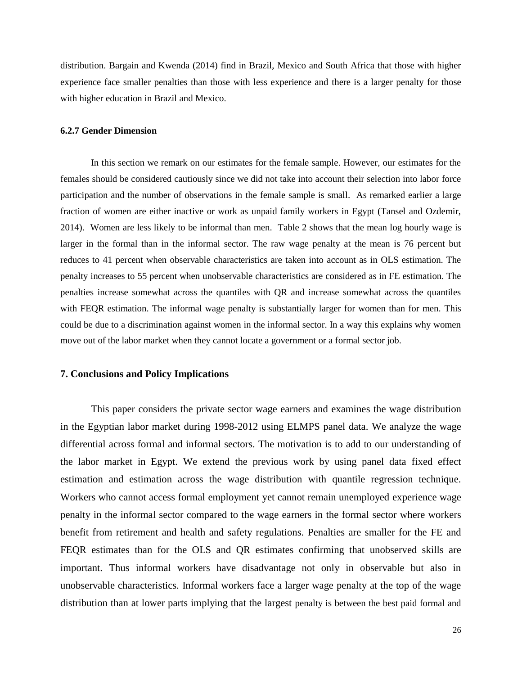distribution. Bargain and Kwenda (2014) find in Brazil, Mexico and South Africa that those with higher experience face smaller penalties than those with less experience and there is a larger penalty for those with higher education in Brazil and Mexico.

#### **6.2.7 Gender Dimension**

In this section we remark on our estimates for the female sample. However, our estimates for the females should be considered cautiously since we did not take into account their selection into labor force participation and the number of observations in the female sample is small. As remarked earlier a large fraction of women are either inactive or work as unpaid family workers in Egypt (Tansel and Ozdemir, 2014). Women are less likely to be informal than men. Table 2 shows that the mean log hourly wage is larger in the formal than in the informal sector. The raw wage penalty at the mean is 76 percent but reduces to 41 percent when observable characteristics are taken into account as in OLS estimation. The penalty increases to 55 percent when unobservable characteristics are considered as in FE estimation. The penalties increase somewhat across the quantiles with QR and increase somewhat across the quantiles with FEQR estimation. The informal wage penalty is substantially larger for women than for men. This could be due to a discrimination against women in the informal sector. In a way this explains why women move out of the labor market when they cannot locate a government or a formal sector job.

#### **7. Conclusions and Policy Implications**

This paper considers the private sector wage earners and examines the wage distribution in the Egyptian labor market during 1998-2012 using ELMPS panel data. We analyze the wage differential across formal and informal sectors. The motivation is to add to our understanding of the labor market in Egypt. We extend the previous work by using panel data fixed effect estimation and estimation across the wage distribution with quantile regression technique. Workers who cannot access formal employment yet cannot remain unemployed experience wage penalty in the informal sector compared to the wage earners in the formal sector where workers benefit from retirement and health and safety regulations. Penalties are smaller for the FE and FEQR estimates than for the OLS and QR estimates confirming that unobserved skills are important. Thus informal workers have disadvantage not only in observable but also in unobservable characteristics. Informal workers face a larger wage penalty at the top of the wage distribution than at lower parts implying that the largest penalty is between the best paid formal and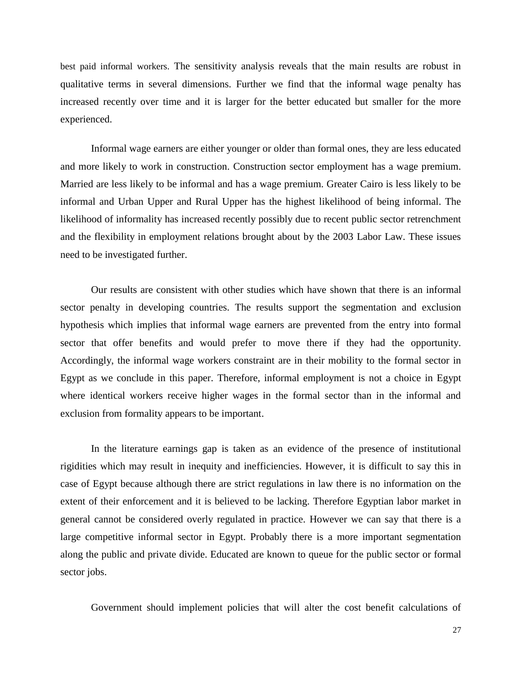best paid informal workers. The sensitivity analysis reveals that the main results are robust in qualitative terms in several dimensions. Further we find that the informal wage penalty has increased recently over time and it is larger for the better educated but smaller for the more experienced.

Informal wage earners are either younger or older than formal ones, they are less educated and more likely to work in construction. Construction sector employment has a wage premium. Married are less likely to be informal and has a wage premium. Greater Cairo is less likely to be informal and Urban Upper and Rural Upper has the highest likelihood of being informal. The likelihood of informality has increased recently possibly due to recent public sector retrenchment and the flexibility in employment relations brought about by the 2003 Labor Law. These issues need to be investigated further.

Our results are consistent with other studies which have shown that there is an informal sector penalty in developing countries. The results support the segmentation and exclusion hypothesis which implies that informal wage earners are prevented from the entry into formal sector that offer benefits and would prefer to move there if they had the opportunity. Accordingly, the informal wage workers constraint are in their mobility to the formal sector in Egypt as we conclude in this paper. Therefore, informal employment is not a choice in Egypt where identical workers receive higher wages in the formal sector than in the informal and exclusion from formality appears to be important.

In the literature earnings gap is taken as an evidence of the presence of institutional rigidities which may result in inequity and inefficiencies. However, it is difficult to say this in case of Egypt because although there are strict regulations in law there is no information on the extent of their enforcement and it is believed to be lacking. Therefore Egyptian labor market in general cannot be considered overly regulated in practice. However we can say that there is a large competitive informal sector in Egypt. Probably there is a more important segmentation along the public and private divide. Educated are known to queue for the public sector or formal sector jobs.

Government should implement policies that will alter the cost benefit calculations of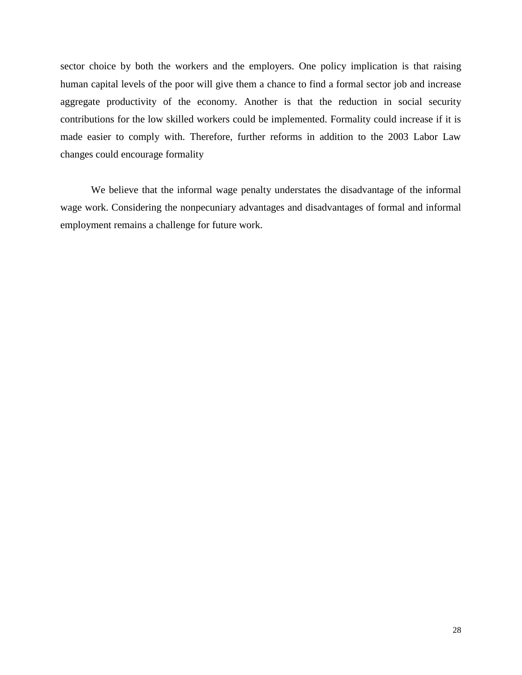sector choice by both the workers and the employers. One policy implication is that raising human capital levels of the poor will give them a chance to find a formal sector job and increase aggregate productivity of the economy. Another is that the reduction in social security contributions for the low skilled workers could be implemented. Formality could increase if it is made easier to comply with. Therefore, further reforms in addition to the 2003 Labor Law changes could encourage formality

We believe that the informal wage penalty understates the disadvantage of the informal wage work. Considering the nonpecuniary advantages and disadvantages of formal and informal employment remains a challenge for future work.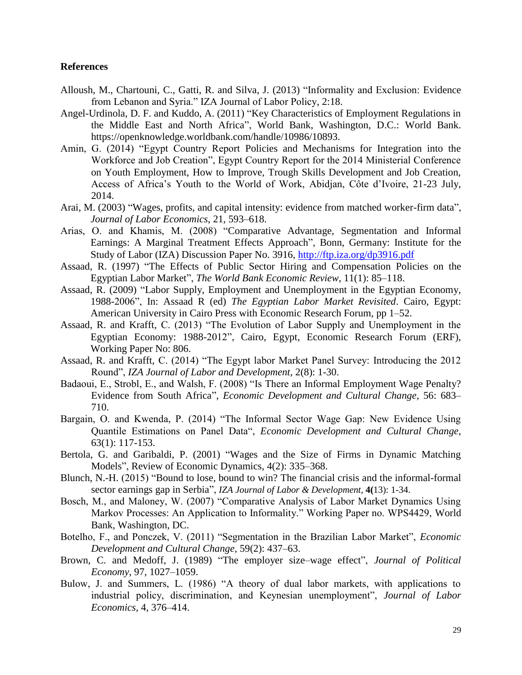#### **References**

- Alloush, M., Chartouni, C., Gatti, R. and Silva, J. (2013) "Informality and Exclusion: Evidence from Lebanon and Syria." IZA Journal of Labor Policy, 2:18.
- Angel-Urdinola, D. F. and Kuddo, A. (2011) "Key Characteristics of Employment Regulations in the Middle East and North Africa", World Bank, Washington, D.C.: World Bank. https://openknowledge.worldbank.com/handle/10986/10893.
- Amin, G. (2014) "Egypt Country Report Policies and Mechanisms for Integration into the Workforce and Job Creation", Egypt Country Report for the 2014 Ministerial Conference on Youth Employment, How to Improve, Trough Skills Development and Job Creation, Access of Africa's Youth to the World of Work, Abidjan, Côte d'Ivoire, 21-23 July, 2014.
- Arai, M. (2003) "Wages, profits, and capital intensity: evidence from matched worker-firm data", *Journal of Labor Economics*, 21, 593–618.
- Arias, O. and Khamis, M. (2008) "Comparative Advantage, Segmentation and Informal Earnings: A Marginal Treatment Effects Approach", Bonn, Germany: Institute for the Study of Labor (IZA) Discussion Paper No. 3916, <http://ftp.iza.org/dp3916.pdf>
- Assaad, R. (1997) "The Effects of Public Sector Hiring and Compensation Policies on the Egyptian Labor Market", *The World Bank Economic Review*, 11(1): 85–118.
- Assaad, R. (2009) "Labor Supply, Employment and Unemployment in the Egyptian Economy, 1988-2006", In: Assaad R (ed) *The Egyptian Labor Market Revisited*. Cairo, Egypt: American University in Cairo Press with Economic Research Forum, pp 1–52.
- Assaad, R. and Krafft, C. (2013) "The Evolution of Labor Supply and Unemployment in the Egyptian Economy: 1988-2012", Cairo, Egypt, Economic Research Forum (ERF), Working Paper No: 806.
- Assaad, R. and Krafft, C. (2014) "The Egypt labor Market Panel Survey: Introducing the 2012 Round", *IZA Journal of Labor and Development*, 2(8): 1-30.
- Badaoui, E., Strobl, E., and Walsh, F. (2008) "Is There an Informal Employment Wage Penalty? Evidence from South Africa", *Economic Development and Cultural Change*, 56: 683– 710.
- Bargain, O. and Kwenda, P. (2014) "The Informal Sector Wage Gap: New Evidence Using Quantile Estimations on Panel Data", *Economic Development and Cultural Change*, 63(1): 117-153.
- Bertola, G. and Garibaldi, P. (2001) "Wages and the Size of Firms in Dynamic Matching Models", Review of Economic Dynamics, 4(2): 335–368.
- Blunch, N.-H. (2015) "Bound to lose, bound to win? The financial crisis and the informal-formal sector earnings gap in Serbia", *IZA Journal of Labor & Development*, **4(**13): 1-34.
- Bosch, M., and Maloney, W. (2007) "Comparative Analysis of Labor Market Dynamics Using Markov Processes: An Application to Informality." Working Paper no. WPS4429, World Bank, Washington, DC.
- Botelho, F., and Ponczek, V. (2011) "Segmentation in the Brazilian Labor Market", *Economic Development and Cultural Change*, 59(2): 437–63.
- Brown, C. and Medoff, J. (1989) "The employer size–wage effect", *Journal of Political Economy*, 97, 1027–1059.
- Bulow, J. and Summers, L. (1986) "A theory of dual labor markets, with applications to industrial policy, discrimination, and Keynesian unemployment", *Journal of Labor Economics*, 4, 376–414.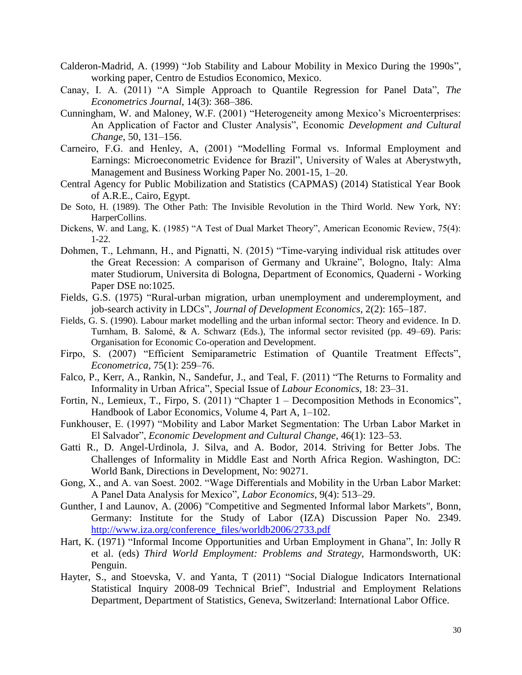- Calderon-Madrid, A. (1999) "Job Stability and Labour Mobility in Mexico During the 1990s", working paper, Centro de Estudios Economico, Mexico.
- Canay, I. A. (2011) "A Simple Approach to Quantile Regression for Panel Data", *The Econometrics Journal*, 14(3): 368–386.
- Cunningham, W. and Maloney, W.F. (2001) "Heterogeneity among Mexico's Microenterprises: An Application of Factor and Cluster Analysis", Economic *Development and Cultural Change*, 50, 131–156.
- Carneiro, F.G. and Henley, A, (2001) "Modelling Formal vs. Informal Employment and Earnings: Microeconometric Evidence for Brazil", University of Wales at Aberystwyth, Management and Business Working Paper No. 2001-15, 1–20.
- Central Agency for Public Mobilization and Statistics (CAPMAS) (2014) Statistical Year Book of A.R.E., Cairo, Egypt.
- De Soto, H. (1989). The Other Path: The Invisible Revolution in the Third World. New York, NY: HarperCollins.
- Dickens, W. and Lang, K. (1985) "A Test of Dual Market Theory", American Economic Review, 75(4): 1-22.
- Dohmen, T., Lehmann, H., and Pignatti, N. (2015) "Time-varying individual risk attitudes over the Great Recession: A comparison of Germany and Ukraine", Bologno, Italy: Alma mater Studiorum, Universita di Bologna, Department of Economics, Quaderni - Working Paper DSE no:1025.
- Fields, G.S. (1975) "Rural-urban migration, urban unemployment and underemployment, and job-search activity in LDCs", *Journal of Development Economics*, 2(2): 165–187.
- Fields, G. S. (1990). Labour market modelling and the urban informal sector: Theory and evidence. In D. Turnham, B. Salomé, & A. Schwarz (Eds.), The informal sector revisited (pp. 49–69). Paris: Organisation for Economic Co-operation and Development.
- Firpo, S. (2007) "Efficient Semiparametric Estimation of Quantile Treatment Effects", *Econometrica*, 75(1): 259–76.
- Falco, P., Kerr, A., Rankin, N., Sandefur, J., and Teal, F. (2011) "The Returns to Formality and Informality in Urban Africa", Special Issue of *Labour Economics*, 18: 23–31.
- Fortin, N., Lemieux, T., Firpo, S. (2011) "Chapter 1 Decomposition Methods in Economics", Handbook of Labor Economics, Volume 4, Part A, 1–102.
- Funkhouser, E. (1997) "Mobility and Labor Market Segmentation: The Urban Labor Market in El Salvador", *Economic Development and Cultural Change*, 46(1): 123–53.
- Gatti R., D. Angel-Urdinola, J. Silva, and A. Bodor, 2014. Striving for Better Jobs. The Challenges of Informality in Middle East and North Africa Region. Washington, DC: World Bank, Directions in Development, No: 90271.
- Gong, X., and A. van Soest. 2002. "Wage Differentials and Mobility in the Urban Labor Market: A Panel Data Analysis for Mexico", *Labor Economics*, 9(4): 513–29.
- Gunther, I and Launov, A. (2006) "Competitive and Segmented Informal labor Markets", Bonn, Germany: Institute for the Study of Labor (IZA) Discussion Paper No. 2349. [http://www.iza.org/conference\\_files/worldb2006/2733.pdf](http://www.iza.org/conference_files/worldb2006/2733.pdf)
- Hart, K. (1971) "Informal Income Opportunities and Urban Employment in Ghana", In: Jolly R et al. (eds) *Third World Employment: Problems and Strategy*, Harmondsworth, UK: Penguin.
- Hayter, S., and Stoevska, V. and Yanta, T (2011) "Social Dialogue Indicators International Statistical Inquiry 2008-09 Technical Brief", Industrial and Employment Relations Department, Department of Statistics, Geneva, Switzerland: International Labor Office.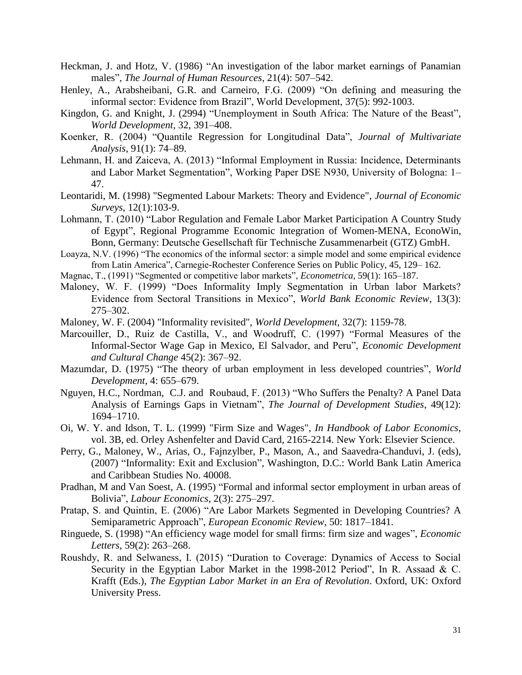- Heckman, J. and Hotz, V. (1986) "An investigation of the labor market earnings of Panamian males", *The Journal of Human Resources*, 21(4): 507–542.
- Henley, A., Arabsheibani, G.R. and Carneiro, F.G. (2009) "On defining and measuring the informal sector: Evidence from Brazil", World Development, 37(5): 992-1003.
- Kingdon, G. and Knight, J. (2994) "Unemployment in South Africa: The Nature of the Beast", *World Development*, 32, 391–408.
- Koenker, R. (2004) "Quantile Regression for Longitudinal Data", *Journal of Multivariate Analysis*, 91(1): 74–89.
- Lehmann, H. and Zaiceva, A. (2013) "Informal Employment in Russia: Incidence, Determinants and Labor Market Segmentation", Working Paper DSE N930, University of Bologna: 1– 47.
- Leontaridi, M. (1998) "Segmented Labour Markets: Theory and Evidence", *Journal of Economic Surveys*, 12(1):103-9.
- Lohmann, T. (2010) "Labor Regulation and Female Labor Market Participation A Country Study of Egypt", Regional Programme Economic Integration of Women-MENA, EconoWin, Bonn, Germany: Deutsche Gesellschaft für Technische Zusammenarbeit (GTZ) GmbH.
- Loayza, N.V. (1996) "The economics of the informal sector: a simple model and some empirical evidence from Latin America", Carnegie-Rochester Conference Series on Public Policy, 45, 129– 162.
- Magnac, T., (1991) "Segmented or competitive labor markets", *Econometrica*, 59(1): 165–187.
- Maloney, W. F. (1999) "Does Informality Imply Segmentation in Urban labor Markets? Evidence from Sectoral Transitions in Mexico", *World Bank Economic Review*, 13(3): 275–302.
- Maloney, W. F. (2004) "Informality revisited", *World Development*, 32(7): 1159-78.
- Marcouiller, D., Ruiz de Castilla, V., and Woodruff, C. (1997) "Formal Measures of the Informal-Sector Wage Gap in Mexico, El Salvador, and Peru", *Economic Development and Cultural Change* 45(2): 367–92.
- Mazumdar, D. (1975) "The theory of urban employment in less developed countries", *World Development*, 4: 655–679.
- Nguyen, H.C., Nordman, C.J. and Roubaud, F. (2013) "Who Suffers the Penalty? A Panel Data Analysis of Earnings Gaps in Vietnam", *The Journal of Development Studies*, 49(12): 1694–1710.
- Oi, W. Y. and Idson, T. L. (1999) "Firm Size and Wages", *In Handbook of Labor Economics*, vol. 3B, ed. Orley Ashenfelter and David Card, 2165-2214. New York: Elsevier Science.
- Perry, G., Maloney, W., Arias, O., Fajnzylber, P., Mason, A., and Saavedra-Chanduvi, J. (eds), (2007) "Informality: Exit and Exclusion", Washington, D.C.: World Bank Latin America and Caribbean Studies No. 40008.
- Pradhan, M and Van Soest, A. (1995) "Formal and informal sector employment in urban areas of Bolivia", *Labour Economics*, 2(3): 275–297.
- Pratap, S. and Quintin, E. (2006) "Are Labor Markets Segmented in Developing Countries? A Semiparametric Approach", *European Economic Review*, 50: 1817–1841.
- Ringuede, S. (1998) "An efficiency wage model for small firms: firm size and wages", *Economic Letters*, 59(2): 263–268.
- Roushdy, R. and Selwaness, I. (2015) "Duration to Coverage: Dynamics of Access to Social Security in the Egyptian Labor Market in the 1998-2012 Period", In R. Assaad & C. Krafft (Eds.), *The Egyptian Labor Market in an Era of Revolution*. Oxford, UK: Oxford University Press.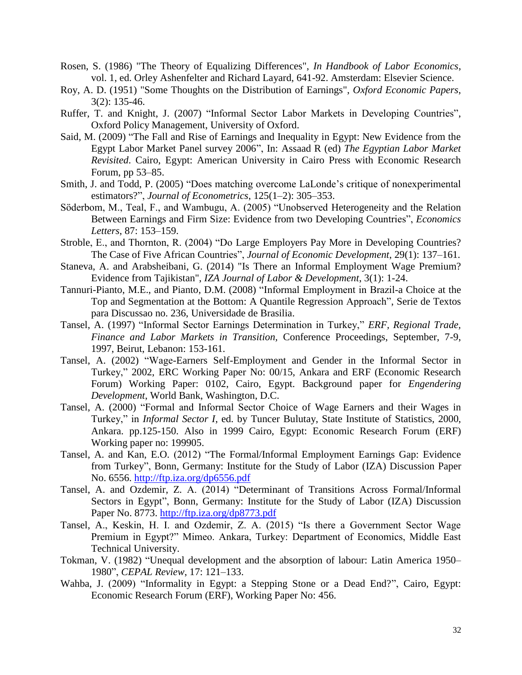- Rosen, S. (1986) "The Theory of Equalizing Differences", *In Handbook of Labor Economics*, vol. 1, ed. Orley Ashenfelter and Richard Layard, 641-92. Amsterdam: Elsevier Science.
- Roy, A. D. (1951) "Some Thoughts on the Distribution of Earnings", *Oxford Economic Papers*, 3(2): 135-46.
- Ruffer, T. and Knight, J. (2007) "Informal Sector Labor Markets in Developing Countries", Oxford Policy Management, University of Oxford.
- Said, M. (2009) "The Fall and Rise of Earnings and Inequality in Egypt: New Evidence from the Egypt Labor Market Panel survey 2006", In: Assaad R (ed) *The Egyptian Labor Market Revisited*. Cairo, Egypt: American University in Cairo Press with Economic Research Forum, pp 53–85.
- Smith, J. and Todd, P. (2005) "Does matching overcome LaLonde's critique of nonexperimental estimators?", *Journal of Econometrics*, 125(1–2): 305–353.
- Söderbom, M., Teal, F., and Wambugu, A. (2005) "Unobserved Heterogeneity and the Relation Between Earnings and Firm Size: Evidence from two Developing Countries", *Economics Letters*, 87: 153–159.
- Stroble, E., and Thornton, R. (2004) "Do Large Employers Pay More in Developing Countries? The Case of Five African Countries", *Journal of Economic Development*, 29(1): 137–161.
- Staneva, A. and Arabsheibani, G. (2014) "Is There an Informal Employment Wage Premium? Evidence from Tajikistan", *IZA Journal of Labor & Development*, 3(1): 1-24.
- Tannuri-Pianto, M.E., and Pianto, D.M. (2008) "Informal Employment in Brazil-a Choice at the Top and Segmentation at the Bottom: A Quantile Regression Approach", Serie de Textos para Discussao no. 236, Universidade de Brasilia.
- Tansel, A. (1997) "Informal Sector Earnings Determination in Turkey," *ERF, Regional Trade, Finance and Labor Markets in Transition,* Conference Proceedings, September, 7-9, 1997, Beirut, Lebanon: 153-161.
- Tansel, A. (2002) "Wage-Earners Self-Employment and Gender in the Informal Sector in Turkey," 2002, ERC Working Paper No: 00/15, Ankara and ERF (Economic Research Forum) Working Paper: 0102, Cairo, Egypt. Background paper for *Engendering Development*, World Bank, Washington, D.C.
- Tansel, A. (2000) "Formal and Informal Sector Choice of Wage Earners and their Wages in Turkey," in *Informal Sector I*, ed. by Tuncer Bulutay, State Institute of Statistics, 2000, Ankara. pp.125-150. Also in 1999 Cairo, Egypt: Economic Research Forum (ERF) Working paper no: 199905.
- Tansel, A. and Kan, E.O. (2012) "The Formal/Informal Employment Earnings Gap: Evidence from Turkey", Bonn, Germany: Institute for the Study of Labor (IZA) Discussion Paper No. 6556.<http://ftp.iza.org/dp6556.pdf>
- Tansel, A. and Ozdemir, Z. A. (2014) "Determinant of Transitions Across Formal/Informal Sectors in Egypt", Bonn, Germany: Institute for the Study of Labor (IZA) Discussion Paper No. 8773. <http://ftp.iza.org/dp8773.pdf>
- Tansel, A., Keskin, H. I. and Ozdemir, Z. A. (2015) "Is there a Government Sector Wage Premium in Egypt?" Mimeo. Ankara, Turkey: Department of Economics, Middle East Technical University.
- Tokman, V. (1982) "Unequal development and the absorption of labour: Latin America 1950– 1980", *CEPAL Review*, 17: 121–133.
- Wahba, J. (2009) "Informality in Egypt: a Stepping Stone or a Dead End?", Cairo, Egypt: Economic Research Forum (ERF), Working Paper No: 456.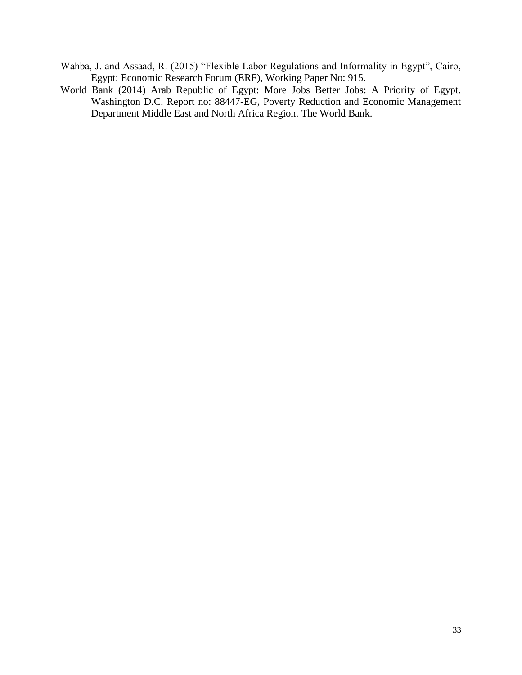- Wahba, J. and Assaad, R. (2015) "Flexible Labor Regulations and Informality in Egypt", Cairo, Egypt: Economic Research Forum (ERF), Working Paper No: 915.
- World Bank (2014) Arab Republic of Egypt: More Jobs Better Jobs: A Priority of Egypt. Washington D.C. Report no: 88447-EG, Poverty Reduction and Economic Management Department Middle East and North Africa Region. The World Bank.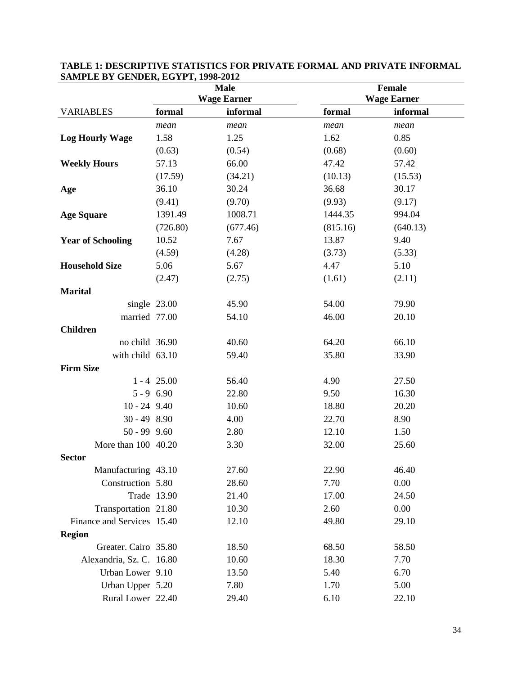|                            | <b>Male</b>   |                    |          | Female             |
|----------------------------|---------------|--------------------|----------|--------------------|
|                            |               | <b>Wage Earner</b> |          | <b>Wage Earner</b> |
| <b>VARIABLES</b>           | formal        | informal           | formal   | informal           |
|                            | mean          | mean               | mean     | mean               |
| <b>Log Hourly Wage</b>     | 1.58          | 1.25               | 1.62     | 0.85               |
|                            | (0.63)        | (0.54)             | (0.68)   | (0.60)             |
| <b>Weekly Hours</b>        | 57.13         | 66.00              | 47.42    | 57.42              |
|                            | (17.59)       | (34.21)            | (10.13)  | (15.53)            |
| Age                        | 36.10         | 30.24              | 36.68    | 30.17              |
|                            | (9.41)        | (9.70)             | (9.93)   | (9.17)             |
| <b>Age Square</b>          | 1391.49       | 1008.71            | 1444.35  | 994.04             |
|                            | (726.80)      | (677.46)           | (815.16) | (640.13)           |
| <b>Year of Schooling</b>   | 10.52         | 7.67               | 13.87    | 9.40               |
|                            | (4.59)        | (4.28)             | (3.73)   | (5.33)             |
| <b>Household Size</b>      | 5.06          | 5.67               | 4.47     | 5.10               |
|                            | (2.47)        | (2.75)             | (1.61)   | (2.11)             |
| <b>Marital</b>             |               |                    |          |                    |
| single 23.00               |               | 45.90              | 54.00    | 79.90              |
| married 77.00              |               | 54.10              | 46.00    | 20.10              |
| <b>Children</b>            |               |                    |          |                    |
| no child 36.90             |               | 40.60              | 64.20    | 66.10              |
| with child 63.10           |               | 59.40              | 35.80    | 33.90              |
| <b>Firm Size</b>           |               |                    |          |                    |
|                            | $1 - 4$ 25.00 | 56.40              | 4.90     | 27.50              |
| $5 - 9$ 6.90               |               | 22.80              | 9.50     | 16.30              |
| $10 - 24$ 9.40             |               | 10.60              | 18.80    | 20.20              |
| $30 - 498.90$              |               | 4.00               | 22.70    | 8.90               |
| $50 - 99$ $9.60$           |               | 2.80               | 12.10    | 1.50               |
| More than 100 40.20        |               | 3.30               | 32.00    | 25.60              |
| <b>Sector</b>              |               |                    |          |                    |
| Manufacturing 43.10        |               | 27.60              | 22.90    | 46.40              |
| Construction 5.80          |               | 28.60              | 7.70     | 0.00               |
| Trade 13.90                |               | 21.40              | 17.00    | 24.50              |
| Transportation 21.80       |               | 10.30              | 2.60     | 0.00               |
| Finance and Services 15.40 |               | 12.10              | 49.80    | 29.10              |
| <b>Region</b>              |               |                    |          |                    |
| Greater. Cairo 35.80       |               | 18.50              | 68.50    | 58.50              |
| Alexandria, Sz. C. 16.80   |               | 10.60              | 18.30    | 7.70               |
| Urban Lower 9.10           |               | 13.50              | 5.40     | 6.70               |
| Urban Upper 5.20           |               | 7.80               | 1.70     | 5.00               |
| Rural Lower 22.40          |               | 29.40              | 6.10     | 22.10              |

#### **TABLE 1: DESCRIPTIVE STATISTICS FOR PRIVATE FORMAL AND PRIVATE INFORMAL SAMPLE BY GENDER, EGYPT, 1998-2012**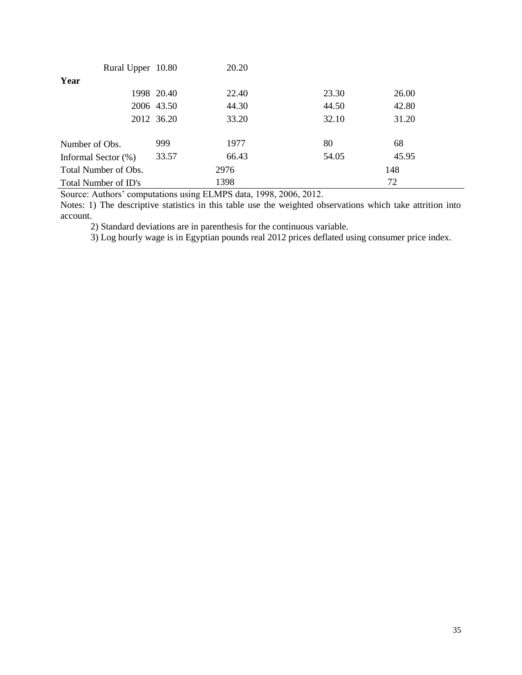| Rural Upper 10.80    |            | 20.20 |       |       |
|----------------------|------------|-------|-------|-------|
| Year                 |            |       |       |       |
|                      | 1998 20.40 | 22.40 | 23.30 | 26.00 |
|                      | 2006 43.50 | 44.30 | 44.50 | 42.80 |
|                      | 2012 36.20 | 33.20 | 32.10 | 31.20 |
|                      |            |       |       |       |
| Number of Obs.       | 999        | 1977  | 80    | 68    |
| Informal Sector (%)  | 33.57      | 66.43 | 54.05 | 45.95 |
| Total Number of Obs. |            | 2976  |       | 148   |
| Total Number of ID's |            | 1398  |       | 72    |

Notes: 1) The descriptive statistics in this table use the weighted observations which take attrition into account.

2) Standard deviations are in parenthesis for the continuous variable.

3) Log hourly wage is in Egyptian pounds real 2012 prices deflated using consumer price index.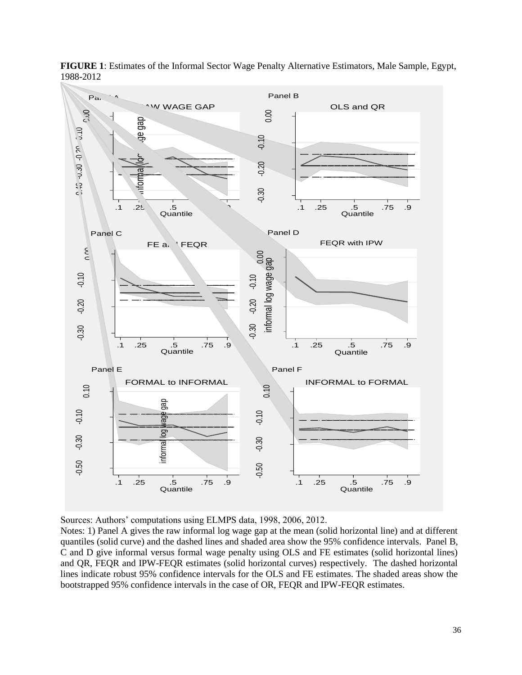

**FIGURE 1**: Estimates of the Informal Sector Wage Penalty Alternative Estimators, Male Sample, Egypt, 1988-2012

Notes: 1) Panel A gives the raw informal log wage gap at the mean (solid horizontal line) and at different quantiles (solid curve) and the dashed lines and shaded area show the 95% confidence intervals. Panel B, C and D give informal versus formal wage penalty using OLS and FE estimates (solid horizontal lines) and QR, FEQR and IPW-FEQR estimates (solid horizontal curves) respectively. The dashed horizontal lines indicate robust 95% confidence intervals for the OLS and FE estimates. The shaded areas show the bootstrapped 95% confidence intervals in the case of OR, FEQR and IPW-FEQR estimates.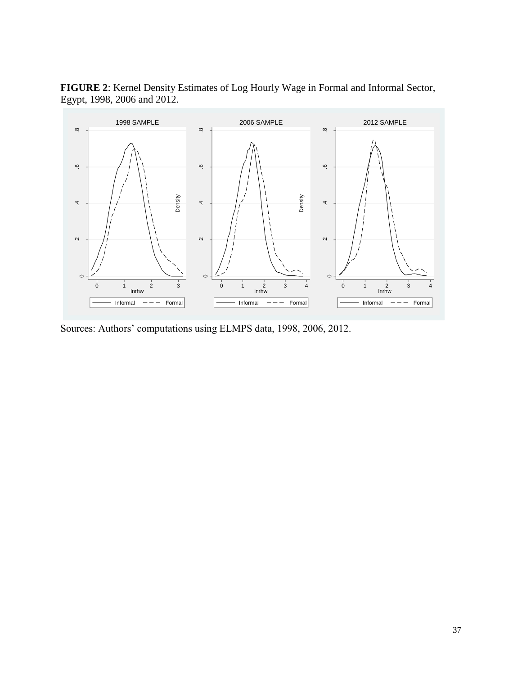**FIGURE 2**: Kernel Density Estimates of Log Hourly Wage in Formal and Informal Sector, Egypt, 1998, 2006 and 2012.



Sources: Authors' computations using ELMPS data, 1998, 2006, 2012.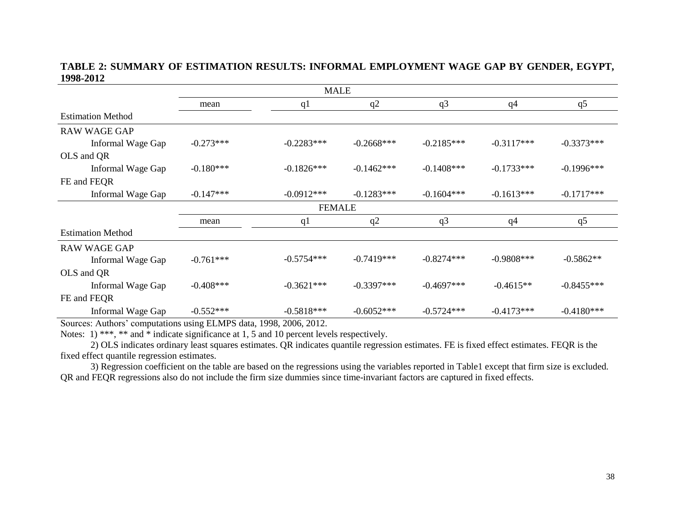### **TABLE 2: SUMMARY OF ESTIMATION RESULTS: INFORMAL EMPLOYMENT WAGE GAP BY GENDER, EGYPT, 1998-2012**

|                          |               | <b>MALE</b>  |              |                |                |              |  |  |  |  |
|--------------------------|---------------|--------------|--------------|----------------|----------------|--------------|--|--|--|--|
|                          | mean          | q1           | q2           | q <sub>3</sub> | q <sub>4</sub> | q5           |  |  |  |  |
| <b>Estimation Method</b> |               |              |              |                |                |              |  |  |  |  |
| <b>RAW WAGE GAP</b>      |               |              |              |                |                |              |  |  |  |  |
| Informal Wage Gap        | $-0.273***$   | $-0.2283***$ | $-0.2668***$ | $-0.2185***$   | $-0.3117***$   | $-0.3373***$ |  |  |  |  |
| OLS and QR               |               |              |              |                |                |              |  |  |  |  |
| Informal Wage Gap        | $-0.180***$   | $-0.1826***$ | $-0.1462***$ | $-0.1408$ ***  | $-0.1733***$   | $-0.1996***$ |  |  |  |  |
| FE and FEQR              |               |              |              |                |                |              |  |  |  |  |
| Informal Wage Gap        | $-0.147***$   | $-0.0912***$ | $-0.1283***$ | $-0.1604***$   | $-0.1613***$   | $-0.1717***$ |  |  |  |  |
|                          | <b>FEMALE</b> |              |              |                |                |              |  |  |  |  |
|                          | mean          | q1           | q2           | q <sub>3</sub> | q <sub>4</sub> | q5           |  |  |  |  |
| <b>Estimation Method</b> |               |              |              |                |                |              |  |  |  |  |
| <b>RAW WAGE GAP</b>      |               |              |              |                |                |              |  |  |  |  |
| Informal Wage Gap        | $-0.761***$   | $-0.5754***$ | $-0.7419***$ | $-0.8274***$   | $-0.9808$ ***  | $-0.5862**$  |  |  |  |  |
| OLS and QR               |               |              |              |                |                |              |  |  |  |  |
| Informal Wage Gap        | $-0.408***$   | $-0.3621***$ | $-0.3397***$ | $-0.4697***$   | $-0.4615**$    | $-0.8455***$ |  |  |  |  |
| FE and FEQR              |               |              |              |                |                |              |  |  |  |  |
| Informal Wage Gap        | $-0.552***$   | $-0.5818***$ | $-0.6052***$ | $-0.5724***$   | $-0.4173***$   | $-0.4180***$ |  |  |  |  |

Sources: Authors' computations using ELMPS data, 1998, 2006, 2012.

Notes: 1) \*\*\*, \*\* and \* indicate significance at 1, 5 and 10 percent levels respectively.

2) OLS indicates ordinary least squares estimates. QR indicates quantile regression estimates. FE is fixed effect estimates. FEQR is the fixed effect quantile regression estimates.

3) Regression coefficient on the table are based on the regressions using the variables reported in Table1 except that firm size is excluded. QR and FEQR regressions also do not include the firm size dummies since time-invariant factors are captured in fixed effects.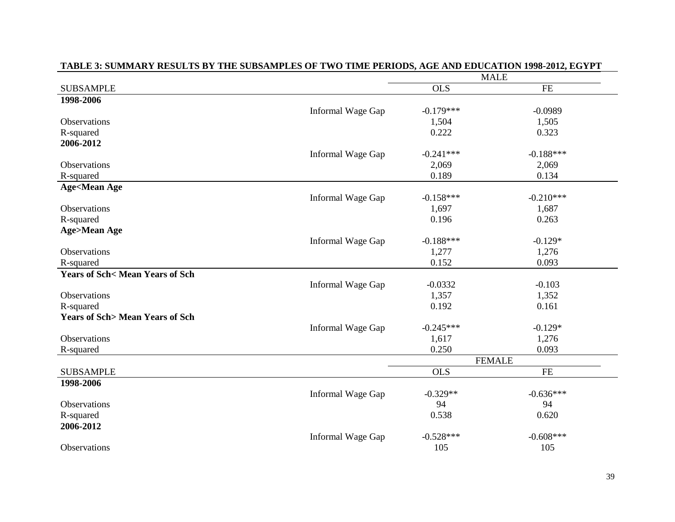|                                           |                   |             | <b>MALE</b>   |  |
|-------------------------------------------|-------------------|-------------|---------------|--|
| <b>SUBSAMPLE</b>                          |                   | <b>OLS</b>  | FE            |  |
| 1998-2006                                 |                   |             |               |  |
|                                           | Informal Wage Gap | $-0.179***$ | $-0.0989$     |  |
| Observations                              |                   | 1,504       | 1,505         |  |
| R-squared                                 |                   | 0.222       | 0.323         |  |
| 2006-2012                                 |                   |             |               |  |
|                                           | Informal Wage Gap | $-0.241***$ | $-0.188***$   |  |
| <b>Observations</b>                       |                   | 2,069       | 2,069         |  |
| R-squared                                 |                   | 0.189       | 0.134         |  |
| <b>Age<mean age<="" b=""></mean></b>      |                   |             |               |  |
|                                           | Informal Wage Gap | $-0.158***$ | $-0.210***$   |  |
| Observations                              |                   | 1,697       | 1,687         |  |
| R-squared                                 |                   | 0.196       | 0.263         |  |
| <b>Age&gt;Mean Age</b>                    |                   |             |               |  |
|                                           | Informal Wage Gap | $-0.188***$ | $-0.129*$     |  |
| Observations                              |                   | 1,277       | 1,276         |  |
| R-squared                                 |                   | 0.152       | 0.093         |  |
| <b>Years of Sch&lt; Mean Years of Sch</b> |                   |             |               |  |
|                                           | Informal Wage Gap | $-0.0332$   | $-0.103$      |  |
| Observations                              |                   | 1,357       | 1,352         |  |
| R-squared                                 |                   | 0.192       | 0.161         |  |
| <b>Years of Sch&gt; Mean Years of Sch</b> |                   |             |               |  |
|                                           | Informal Wage Gap | $-0.245***$ | $-0.129*$     |  |
| Observations                              |                   | 1,617       | 1,276         |  |
| R-squared                                 |                   | 0.250       | 0.093         |  |
|                                           |                   |             | <b>FEMALE</b> |  |
| <b>SUBSAMPLE</b>                          |                   | OLS         | <b>FE</b>     |  |
| 1998-2006                                 |                   |             |               |  |
|                                           | Informal Wage Gap | $-0.329**$  | $-0.636***$   |  |
| <b>Observations</b>                       |                   | 94          | 94            |  |
| R-squared                                 |                   | 0.538       | 0.620         |  |
| 2006-2012                                 |                   |             |               |  |
|                                           | Informal Wage Gap | $-0.528***$ | $-0.608***$   |  |
| Observations                              |                   | 105         | 105           |  |

## **TABLE 3: SUMMARY RESULTS BY THE SUBSAMPLES OF TWO TIME PERIODS, AGE AND EDUCATION 1998-2012, EGYPT**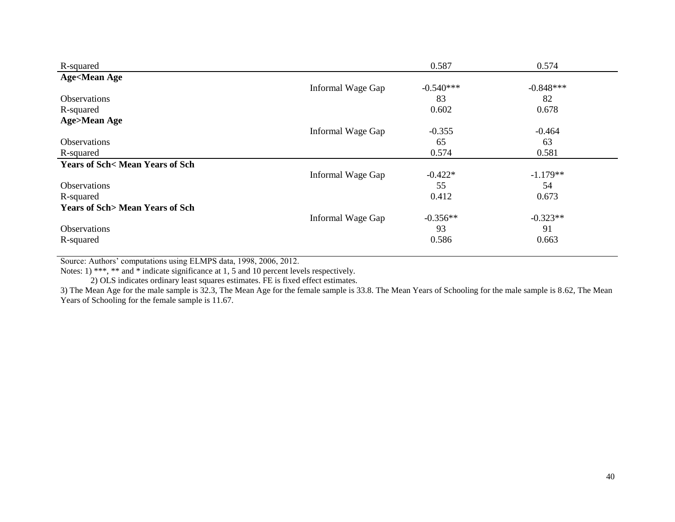| R-squared                                 |                   | 0.587       | 0.574       |
|-------------------------------------------|-------------------|-------------|-------------|
| <b>Age<mean age<="" b=""></mean></b>      |                   |             |             |
|                                           | Informal Wage Gap | $-0.540***$ | $-0.848***$ |
| <b>Observations</b>                       |                   | 83          | 82          |
| R-squared                                 |                   | 0.602       | 0.678       |
| <b>Age&gt;Mean Age</b>                    |                   |             |             |
|                                           | Informal Wage Gap | $-0.355$    | $-0.464$    |
| Observations                              |                   | 65          | 63          |
| R-squared                                 |                   | 0.574       | 0.581       |
| <b>Years of Sch&lt; Mean Years of Sch</b> |                   |             |             |
|                                           | Informal Wage Gap | $-0.422*$   | $-1.179**$  |
| <b>Observations</b>                       |                   | 55          | 54          |
| R-squared                                 |                   | 0.412       | 0.673       |
| <b>Years of Sch&gt; Mean Years of Sch</b> |                   |             |             |
|                                           | Informal Wage Gap | $-0.356**$  | $-0.323**$  |
| Observations                              |                   | 93          | 91          |
| R-squared                                 |                   | 0.586       | 0.663       |

Notes: 1) \*\*\*, \*\* and \* indicate significance at 1, 5 and 10 percent levels respectively.

2) OLS indicates ordinary least squares estimates. FE is fixed effect estimates.

3) The Mean Age for the male sample is 32.3, The Mean Age for the female sample is 33.8. The Mean Years of Schooling for the male sample is 8.62, The Mean Years of Schooling for the female sample is 11.67.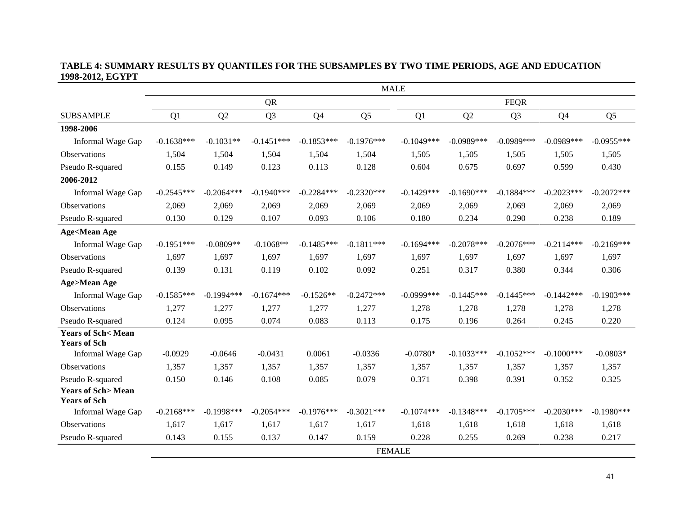#### **TABLE 4: SUMMARY RESULTS BY QUANTILES FOR THE SUBSAMPLES BY TWO TIME PERIODS, AGE AND EDUCATION 1998-2012, EGYPT**

|                                                     | <b>MALE</b>  |               |                |                |                |                |              |                |               |                |
|-----------------------------------------------------|--------------|---------------|----------------|----------------|----------------|----------------|--------------|----------------|---------------|----------------|
|                                                     |              |               | <b>QR</b>      |                |                |                |              | <b>FEQR</b>    |               |                |
| <b>SUBSAMPLE</b>                                    | Q1           | Q2            | Q <sub>3</sub> | Q <sub>4</sub> | Q <sub>5</sub> | Q <sub>1</sub> | Q2           | Q <sub>3</sub> | Q4            | Q <sub>5</sub> |
| 1998-2006                                           |              |               |                |                |                |                |              |                |               |                |
| Informal Wage Gap                                   | $-0.1638***$ | $-0.1031**$   | $-0.1451***$   | $-0.1853***$   | $-0.1976***$   | $-0.1049***$   | $-0.0989***$ | $-0.0989***$   | $-0.0989***$  | $-0.0955***$   |
| Observations                                        | 1,504        | 1,504         | 1,504          | 1,504          | 1,504          | 1,505          | 1,505        | 1,505          | 1,505         | 1,505          |
| Pseudo R-squared                                    | 0.155        | 0.149         | 0.123          | 0.113          | 0.128          | 0.604          | 0.675        | 0.697          | 0.599         | 0.430          |
| 2006-2012                                           |              |               |                |                |                |                |              |                |               |                |
| Informal Wage Gap                                   | $-0.2545***$ | $-0.2064***$  | $-0.1940***$   | $-0.2284***$   | $-0.2320***$   | $-0.1429***$   | $-0.1690***$ | $-0.1884***$   | $-0.2023***$  | $-0.2072***$   |
| <b>Observations</b>                                 | 2,069        | 2,069         | 2,069          | 2,069          | 2,069          | 2,069          | 2,069        | 2,069          | 2,069         | 2,069          |
| Pseudo R-squared                                    | 0.130        | 0.129         | 0.107          | 0.093          | 0.106          | 0.180          | 0.234        | 0.290          | 0.238         | 0.189          |
| <b>Age<mean age<="" b=""></mean></b>                |              |               |                |                |                |                |              |                |               |                |
| Informal Wage Gap                                   | $-0.1951***$ | $-0.0809**$   | $-0.1068**$    | $-0.1485***$   | $-0.1811***$   | $-0.1694***$   | $-0.2078***$ | $-0.2076***$   | $-0.2114***$  | $-0.2169***$   |
| Observations                                        | 1,697        | 1,697         | 1,697          | 1,697          | 1,697          | 1,697          | 1,697        | 1,697          | 1,697         | 1,697          |
| Pseudo R-squared                                    | 0.139        | 0.131         | 0.119          | 0.102          | 0.092          | 0.251          | 0.317        | 0.380          | 0.344         | 0.306          |
| <b>Age&gt;Mean Age</b>                              |              |               |                |                |                |                |              |                |               |                |
| Informal Wage Gap                                   | $-0.1585***$ | $-0.1994$ *** | $-0.1674***$   | $-0.1526**$    | $-0.2472***$   | $-0.0999$ ***  | $-0.1445***$ | $-0.1445***$   | $-0.1442***$  | $-0.1903***$   |
| Observations                                        | 1,277        | 1,277         | 1,277          | 1,277          | 1,277          | 1,278          | 1,278        | 1,278          | 1,278         | 1,278          |
| Pseudo R-squared                                    | 0.124        | 0.095         | 0.074          | 0.083          | 0.113          | 0.175          | 0.196        | 0.264          | 0.245         | 0.220          |
| <b>Years of Sch&lt; Mean</b><br><b>Years of Sch</b> |              |               |                |                |                |                |              |                |               |                |
| Informal Wage Gap                                   | $-0.0929$    | $-0.0646$     | $-0.0431$      | 0.0061         | $-0.0336$      | $-0.0780*$     | $-0.1033***$ | $-0.1052***$   | $-0.1000$ *** | $-0.0803*$     |
| Observations                                        | 1.357        | 1,357         | 1,357          | 1,357          | 1,357          | 1,357          | 1,357        | 1,357          | 1,357         | 1,357          |
| Pseudo R-squared                                    | 0.150        | 0.146         | 0.108          | 0.085          | 0.079          | 0.371          | 0.398        | 0.391          | 0.352         | 0.325          |
| <b>Years of Sch&gt;Mean</b><br><b>Years of Sch</b>  |              |               |                |                |                |                |              |                |               |                |
| Informal Wage Gap                                   | $-0.2168***$ | $-0.1998$ *** | $-0.2054***$   | $-0.1976***$   | $-0.3021$ ***  | $-0.1074***$   | $-0.1348***$ | $-0.1705***$   | $-0.2030***$  | $-0.1980***$   |
| <b>Observations</b>                                 | 1,617        | 1,617         | 1,617          | 1,617          | 1,617          | 1,618          | 1,618        | 1,618          | 1,618         | 1,618          |
| Pseudo R-squared                                    | 0.143        | 0.155         | 0.137          | 0.147          | 0.159          | 0.228          | 0.255        | 0.269          | 0.238         | 0.217          |
|                                                     |              |               |                |                | <b>FEMALE</b>  |                |              |                |               |                |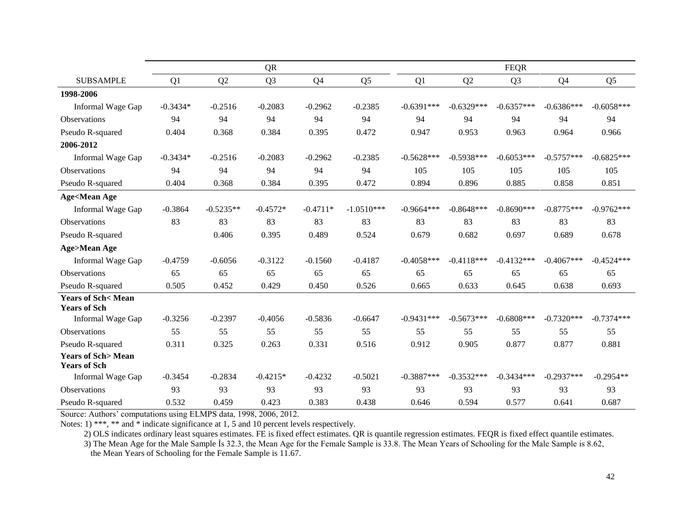|                                                     |            |             | <b>QR</b>      |                |                |              |              | <b>FEQR</b>    |                |                |
|-----------------------------------------------------|------------|-------------|----------------|----------------|----------------|--------------|--------------|----------------|----------------|----------------|
| <b>SUBSAMPLE</b>                                    | Q1         | Q2          | Q <sub>3</sub> | Q <sub>4</sub> | Q <sub>5</sub> | Q1           | Q2           | Q <sub>3</sub> | Q <sub>4</sub> | Q <sub>5</sub> |
| 1998-2006                                           |            |             |                |                |                |              |              |                |                |                |
| Informal Wage Gap                                   | $-0.3434*$ | $-0.2516$   | $-0.2083$      | $-0.2962$      | $-0.2385$      | $-0.6391***$ | $-0.6329***$ | $-0.6357***$   | $-0.6386***$   | $-0.6058***$   |
| <b>Observations</b>                                 | 94         | 94          | 94             | 94             | 94             | 94           | 94           | 94             | 94             | 94             |
| Pseudo R-squared                                    | 0.404      | 0.368       | 0.384          | 0.395          | 0.472          | 0.947        | 0.953        | 0.963          | 0.964          | 0.966          |
| 2006-2012                                           |            |             |                |                |                |              |              |                |                |                |
| Informal Wage Gap                                   | $-0.3434*$ | $-0.2516$   | $-0.2083$      | $-0.2962$      | $-0.2385$      | $-0.5628***$ | $-0.5938***$ | $-0.6053***$   | $-0.5757***$   | $-0.6825***$   |
| Observations                                        | 94         | 94          | 94             | 94             | 94             | 105          | 105          | 105            | 105            | 105            |
| Pseudo R-squared                                    | 0.404      | 0.368       | 0.384          | 0.395          | 0.472          | 0.894        | 0.896        | 0.885          | 0.858          | 0.851          |
| <b>Age<mean age<="" b=""></mean></b>                |            |             |                |                |                |              |              |                |                |                |
| Informal Wage Gap                                   | $-0.3864$  | $-0.5235**$ | $-0.4572*$     | $-0.4711*$     | $-1.0510***$   | $-0.9664***$ | $-0.8648***$ | $-0.8690***$   | $-0.8775***$   | $-0.9762***$   |
| <b>Observations</b>                                 | 83         | 83          | 83             | 83             | 83             | 83           | 83           | 83             | 83             | 83             |
| Pseudo R-squared                                    |            | 0.406       | 0.395          | 0.489          | 0.524          | 0.679        | 0.682        | 0.697          | 0.689          | 0.678          |
| <b>Age&gt;Mean Age</b>                              |            |             |                |                |                |              |              |                |                |                |
| Informal Wage Gap                                   | $-0.4759$  | $-0.6056$   | $-0.3122$      | $-0.1560$      | $-0.4187$      | $-0.4058***$ | $-0.4118***$ | $-0.4132***$   | $-0.4067***$   | $-0.4524***$   |
| <b>Observations</b>                                 | 65         | 65          | 65             | 65             | 65             | 65           | 65           | 65             | 65             | 65             |
| Pseudo R-squared                                    | 0.505      | 0.452       | 0.429          | 0.450          | 0.526          | 0.665        | 0.633        | 0.645          | 0.638          | 0.693          |
| <b>Years of Sch&lt; Mean</b><br><b>Years of Sch</b> |            |             |                |                |                |              |              |                |                |                |
| Informal Wage Gap                                   | $-0.3256$  | $-0.2397$   | $-0.4056$      | $-0.5836$      | $-0.6647$      | $-0.9431***$ | $-0.5673***$ | $-0.6808***$   | $-0.7320***$   | $-0.7374***$   |
| <b>Observations</b>                                 | 55         | 55          | 55             | 55             | 55             | 55           | 55           | 55             | 55             | 55             |
| Pseudo R-squared                                    | 0.311      | 0.325       | 0.263          | 0.331          | 0.516          | 0.912        | 0.905        | 0.877          | 0.877          | 0.881          |
| <b>Years of Sch&gt;Mean</b><br><b>Years of Sch</b>  |            |             |                |                |                |              |              |                |                |                |
| Informal Wage Gap                                   | $-0.3454$  | $-0.2834$   | $-0.4215*$     | $-0.4232$      | $-0.5021$      | $-0.3887***$ | $-0.3532***$ | $-0.3434***$   | $-0.2937***$   | $-0.2954**$    |
| <b>Observations</b>                                 | 93         | 93          | 93             | 93             | 93             | 93           | 93           | 93             | 93             | 93             |
| Pseudo R-squared                                    | 0.532      | 0.459       | 0.423          | 0.383          | 0.438          | 0.646        | 0.594        | 0.577          | 0.641          | 0.687          |

Notes: 1) \*\*\*, \*\* and \* indicate significance at 1, 5 and 10 percent levels respectively.

2) OLS indicates ordinary least squares estimates. FE is fixed effect estimates. QR is quantile regression estimates. FEQR is fixed effect quantile estimates.

3) The Mean Age for the Male Sample İs 32.3, the Mean Age for the Female Sample is 33.8. The Mean Years of Schooling for the Male Sample is 8.62,

the Mean Years of Schooling for the Female Sample is 11.67.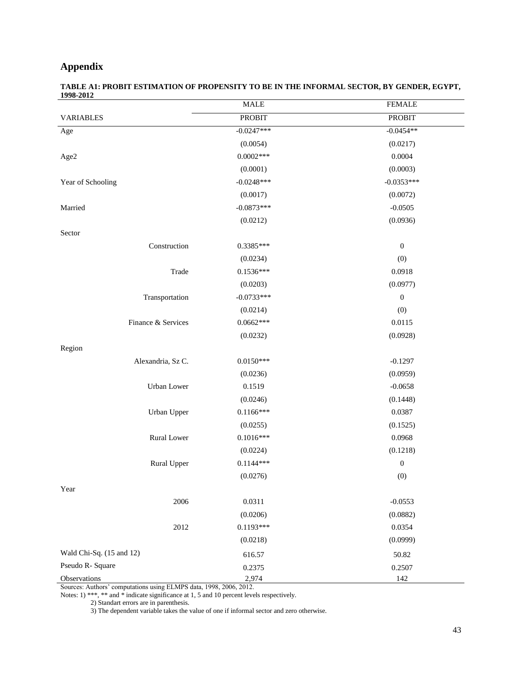## **Appendix**

| TABLE A1: PROBIT ESTIMATION OF PROPENSITY TO BE IN THE INFORMAL SECTOR. BY GENDER. EGYPT. |  |
|-------------------------------------------------------------------------------------------|--|
| 1998-2012                                                                                 |  |

|                          | <b>MALE</b>   | <b>FEMALE</b>    |
|--------------------------|---------------|------------------|
| <b>VARIABLES</b>         | <b>PROBIT</b> | <b>PROBIT</b>    |
| Age                      | $-0.0247***$  | $-0.0454**$      |
|                          | (0.0054)      | (0.0217)         |
| Age2                     | $0.0002***$   | 0.0004           |
|                          | (0.0001)      | (0.0003)         |
| Year of Schooling        | $-0.0248***$  | $-0.0353***$     |
|                          | (0.0017)      | (0.0072)         |
| Married                  | $-0.0873***$  | $-0.0505$        |
|                          | (0.0212)      | (0.0936)         |
| Sector                   |               |                  |
| Construction             | $0.3385***$   | $\boldsymbol{0}$ |
|                          | (0.0234)      | (0)              |
| Trade                    | $0.1536***$   | 0.0918           |
|                          | (0.0203)      | (0.0977)         |
| Transportation           | $-0.0733***$  | $\boldsymbol{0}$ |
|                          | (0.0214)      | (0)              |
| Finance & Services       | $0.0662***$   | 0.0115           |
|                          | (0.0232)      | (0.0928)         |
| Region                   |               |                  |
| Alexandria, Sz C.        | $0.0150***$   | $-0.1297$        |
|                          | (0.0236)      | (0.0959)         |
| Urban Lower              | 0.1519        | $-0.0658$        |
|                          | (0.0246)      | (0.1448)         |
| Urban Upper              | $0.1166***$   | 0.0387           |
|                          | (0.0255)      | (0.1525)         |
| Rural Lower              | $0.1016***$   | 0.0968           |
|                          | (0.0224)      | (0.1218)         |
| Rural Upper              | $0.1144***$   | $\boldsymbol{0}$ |
|                          | (0.0276)      | (0)              |
| Year                     |               |                  |
| 2006                     | 0.0311        | $-0.0553$        |
|                          | (0.0206)      | (0.0882)         |
| 2012                     | $0.1193***$   | 0.0354           |
|                          | (0.0218)      | (0.0999)         |
| Wald Chi-Sq. (15 and 12) | 616.57        | 50.82            |
| Pseudo R- Square         | 0.2375        | 0.2507           |
| Observations             | 2,974         | 142              |

Sources: Authors' computations using ELMPS data, 1998, 2006, 2012.

Notes: 1) \*\*\*, \*\* and \* indicate significance at 1, 5 and 10 percent levels respectively.

2) Standart errors are in parenthesis.

3) The dependent variable takes the value of one if informal sector and zero otherwise.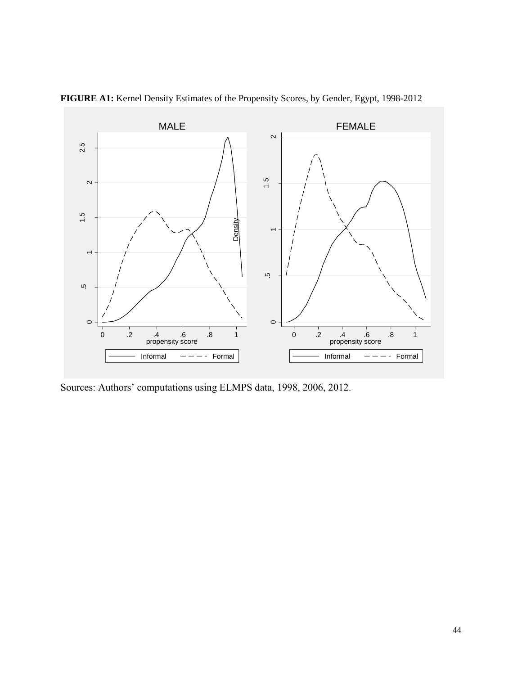

**FIGURE A1:** Kernel Density Estimates of the Propensity Scores, by Gender, Egypt, 1998-2012

Sources: Authors' computations using ELMPS data, 1998, 2006, 2012.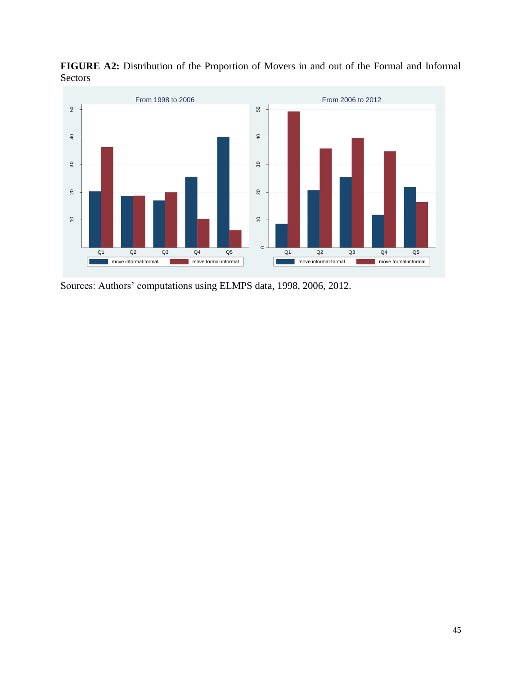

**FIGURE A2:** Distribution of the Proportion of Movers in and out of the Formal and Informal Sectors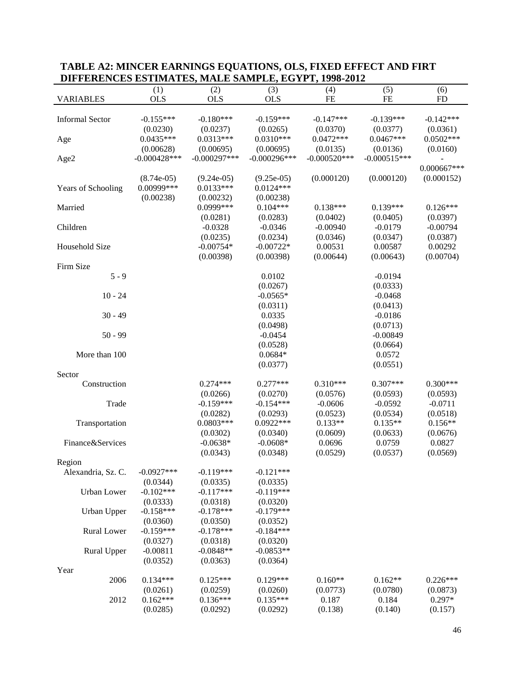| (5)<br>(1)<br>(2)<br>(3)<br>(6)<br>(4)<br><b>OLS</b><br><b>OLS</b><br><b>VARIABLES</b><br><b>OLS</b><br>$\rm FE$<br>$FE$<br><b>FD</b><br><b>Informal Sector</b><br>$-0.155***$<br>$-0.180***$<br>$-0.159***$<br>$-0.147***$<br>$-0.139***$<br>$-0.142***$<br>(0.0370)<br>(0.0377)<br>(0.0361)<br>(0.0230)<br>(0.0237)<br>(0.0265)<br>$0.0435***$<br>$0.0310***$<br>$0.0472***$<br>$0.0467***$<br>$0.0502***$<br>$0.0313***$<br>Age<br>(0.00695)<br>(0.00695)<br>(0.0135)<br>(0.00628)<br>(0.0136)<br>(0.0160)<br>$-0.000428***$<br>$-0.000297***$<br>$-0.000296***$<br>$-0.000520***$<br>$-0.000515***$<br>Age2<br>$0.000667***$<br>(0.000120)<br>$(8.74e-05)$<br>$(9.24e-05)$<br>$(9.25e-05)$<br>(0.000120)<br>(0.000152)<br>0.00999***<br>Years of Schooling<br>$0.0133***$<br>$0.0124***$<br>(0.00238)<br>(0.00238)<br>(0.00232)<br>0.0999***<br>$0.104***$<br>$0.138***$<br>$0.139***$<br>Married<br>$0.126***$<br>(0.0281)<br>(0.0283)<br>(0.0402)<br>(0.0405)<br>(0.0397)<br>Children<br>$-0.0328$<br>$-0.0346$<br>$-0.00940$<br>$-0.0179$<br>$-0.00794$<br>(0.0235)<br>(0.0234)<br>(0.0346)<br>(0.0347)<br>(0.0387)<br>Household Size<br>$-0.00754*$<br>$-0.00722*$<br>0.00531<br>0.00587<br>0.00292<br>(0.00398)<br>(0.00398)<br>(0.00644)<br>(0.00643)<br>(0.00704)<br>Firm Size<br>$5 - 9$<br>0.0102<br>$-0.0194$<br>(0.0267)<br>(0.0333)<br>$10 - 24$<br>$-0.0565*$<br>$-0.0468$<br>(0.0311)<br>(0.0413)<br>$30 - 49$<br>0.0335<br>$-0.0186$<br>(0.0498)<br>(0.0713)<br>$50 - 99$<br>$-0.00849$<br>$-0.0454$<br>(0.0528)<br>(0.0664)<br>$0.0684*$<br>0.0572<br>More than 100<br>(0.0377)<br>(0.0551)<br>Sector<br>$0.307***$<br>Construction<br>$0.274***$<br>$0.277***$<br>$0.310***$<br>$0.300***$<br>(0.0266)<br>(0.0270)<br>(0.0576)<br>(0.0593)<br>(0.0593)<br>$-0.159***$<br>$-0.154***$<br>$-0.0606$<br>$-0.0711$<br>Trade<br>$-0.0592$<br>(0.0282)<br>(0.0293)<br>(0.0523)<br>(0.0534)<br>(0.0518)<br>$0.0803***$<br>$0.0922***$<br>$0.133**$<br>$0.135**$<br>$0.156**$<br>Transportation<br>(0.0302)<br>(0.0340)<br>(0.0609)<br>(0.0633)<br>(0.0676)<br>Finance&Services<br>$-0.0638*$<br>$-0.0608*$<br>0.0696<br>0.0759<br>0.0827<br>(0.0529)<br>(0.0537)<br>(0.0569)<br>(0.0343)<br>(0.0348)<br>Region<br>$-0.0927***$<br>$-0.119***$<br>$-0.121***$<br>Alexandria, Sz. C.<br>(0.0344)<br>(0.0335)<br>(0.0335)<br>$-0.102***$<br>$-0.117***$<br>$-0.119***$<br>Urban Lower<br>(0.0333)<br>(0.0318)<br>(0.0320)<br>$-0.158***$<br>$-0.178***$<br>$-0.179***$<br><b>Urban Upper</b><br>(0.0360)<br>(0.0350)<br>(0.0352)<br>$-0.159***$<br>$-0.178***$<br>Rural Lower<br>$-0.184***$<br>(0.0327)<br>(0.0318)<br>(0.0320)<br>$-0.00811$<br>$-0.0848**$<br>$-0.0853**$<br><b>Rural Upper</b><br>(0.0352)<br>(0.0363)<br>(0.0364)<br>Year<br>2006<br>$0.134***$<br>$0.125***$<br>$0.129***$<br>$0.162**$<br>$0.160**$<br>$0.226***$<br>(0.0780)<br>(0.0261)<br>(0.0259)<br>(0.0260)<br>(0.0773)<br>(0.0873) | DIFFERENCES ESTIMATES, MADE SAMI DE, EGTI I, 1770-2012 |            |            |            |       |       |          |
|-----------------------------------------------------------------------------------------------------------------------------------------------------------------------------------------------------------------------------------------------------------------------------------------------------------------------------------------------------------------------------------------------------------------------------------------------------------------------------------------------------------------------------------------------------------------------------------------------------------------------------------------------------------------------------------------------------------------------------------------------------------------------------------------------------------------------------------------------------------------------------------------------------------------------------------------------------------------------------------------------------------------------------------------------------------------------------------------------------------------------------------------------------------------------------------------------------------------------------------------------------------------------------------------------------------------------------------------------------------------------------------------------------------------------------------------------------------------------------------------------------------------------------------------------------------------------------------------------------------------------------------------------------------------------------------------------------------------------------------------------------------------------------------------------------------------------------------------------------------------------------------------------------------------------------------------------------------------------------------------------------------------------------------------------------------------------------------------------------------------------------------------------------------------------------------------------------------------------------------------------------------------------------------------------------------------------------------------------------------------------------------------------------------------------------------------------------------------------------------------------------------------------------------------------------------------------------------------------------------------------------------------------------------------------------------------------------------------------------------------------------------------------------------------------------------------------------------------------------------------------------------------------------------------------------|--------------------------------------------------------|------------|------------|------------|-------|-------|----------|
|                                                                                                                                                                                                                                                                                                                                                                                                                                                                                                                                                                                                                                                                                                                                                                                                                                                                                                                                                                                                                                                                                                                                                                                                                                                                                                                                                                                                                                                                                                                                                                                                                                                                                                                                                                                                                                                                                                                                                                                                                                                                                                                                                                                                                                                                                                                                                                                                                                                                                                                                                                                                                                                                                                                                                                                                                                                                                                                             |                                                        |            |            |            |       |       |          |
|                                                                                                                                                                                                                                                                                                                                                                                                                                                                                                                                                                                                                                                                                                                                                                                                                                                                                                                                                                                                                                                                                                                                                                                                                                                                                                                                                                                                                                                                                                                                                                                                                                                                                                                                                                                                                                                                                                                                                                                                                                                                                                                                                                                                                                                                                                                                                                                                                                                                                                                                                                                                                                                                                                                                                                                                                                                                                                                             |                                                        |            |            |            |       |       |          |
|                                                                                                                                                                                                                                                                                                                                                                                                                                                                                                                                                                                                                                                                                                                                                                                                                                                                                                                                                                                                                                                                                                                                                                                                                                                                                                                                                                                                                                                                                                                                                                                                                                                                                                                                                                                                                                                                                                                                                                                                                                                                                                                                                                                                                                                                                                                                                                                                                                                                                                                                                                                                                                                                                                                                                                                                                                                                                                                             |                                                        |            |            |            |       |       |          |
|                                                                                                                                                                                                                                                                                                                                                                                                                                                                                                                                                                                                                                                                                                                                                                                                                                                                                                                                                                                                                                                                                                                                                                                                                                                                                                                                                                                                                                                                                                                                                                                                                                                                                                                                                                                                                                                                                                                                                                                                                                                                                                                                                                                                                                                                                                                                                                                                                                                                                                                                                                                                                                                                                                                                                                                                                                                                                                                             |                                                        |            |            |            |       |       |          |
|                                                                                                                                                                                                                                                                                                                                                                                                                                                                                                                                                                                                                                                                                                                                                                                                                                                                                                                                                                                                                                                                                                                                                                                                                                                                                                                                                                                                                                                                                                                                                                                                                                                                                                                                                                                                                                                                                                                                                                                                                                                                                                                                                                                                                                                                                                                                                                                                                                                                                                                                                                                                                                                                                                                                                                                                                                                                                                                             |                                                        |            |            |            |       |       |          |
|                                                                                                                                                                                                                                                                                                                                                                                                                                                                                                                                                                                                                                                                                                                                                                                                                                                                                                                                                                                                                                                                                                                                                                                                                                                                                                                                                                                                                                                                                                                                                                                                                                                                                                                                                                                                                                                                                                                                                                                                                                                                                                                                                                                                                                                                                                                                                                                                                                                                                                                                                                                                                                                                                                                                                                                                                                                                                                                             |                                                        |            |            |            |       |       |          |
|                                                                                                                                                                                                                                                                                                                                                                                                                                                                                                                                                                                                                                                                                                                                                                                                                                                                                                                                                                                                                                                                                                                                                                                                                                                                                                                                                                                                                                                                                                                                                                                                                                                                                                                                                                                                                                                                                                                                                                                                                                                                                                                                                                                                                                                                                                                                                                                                                                                                                                                                                                                                                                                                                                                                                                                                                                                                                                                             |                                                        |            |            |            |       |       |          |
|                                                                                                                                                                                                                                                                                                                                                                                                                                                                                                                                                                                                                                                                                                                                                                                                                                                                                                                                                                                                                                                                                                                                                                                                                                                                                                                                                                                                                                                                                                                                                                                                                                                                                                                                                                                                                                                                                                                                                                                                                                                                                                                                                                                                                                                                                                                                                                                                                                                                                                                                                                                                                                                                                                                                                                                                                                                                                                                             |                                                        |            |            |            |       |       |          |
|                                                                                                                                                                                                                                                                                                                                                                                                                                                                                                                                                                                                                                                                                                                                                                                                                                                                                                                                                                                                                                                                                                                                                                                                                                                                                                                                                                                                                                                                                                                                                                                                                                                                                                                                                                                                                                                                                                                                                                                                                                                                                                                                                                                                                                                                                                                                                                                                                                                                                                                                                                                                                                                                                                                                                                                                                                                                                                                             |                                                        |            |            |            |       |       |          |
|                                                                                                                                                                                                                                                                                                                                                                                                                                                                                                                                                                                                                                                                                                                                                                                                                                                                                                                                                                                                                                                                                                                                                                                                                                                                                                                                                                                                                                                                                                                                                                                                                                                                                                                                                                                                                                                                                                                                                                                                                                                                                                                                                                                                                                                                                                                                                                                                                                                                                                                                                                                                                                                                                                                                                                                                                                                                                                                             |                                                        |            |            |            |       |       |          |
|                                                                                                                                                                                                                                                                                                                                                                                                                                                                                                                                                                                                                                                                                                                                                                                                                                                                                                                                                                                                                                                                                                                                                                                                                                                                                                                                                                                                                                                                                                                                                                                                                                                                                                                                                                                                                                                                                                                                                                                                                                                                                                                                                                                                                                                                                                                                                                                                                                                                                                                                                                                                                                                                                                                                                                                                                                                                                                                             |                                                        |            |            |            |       |       |          |
|                                                                                                                                                                                                                                                                                                                                                                                                                                                                                                                                                                                                                                                                                                                                                                                                                                                                                                                                                                                                                                                                                                                                                                                                                                                                                                                                                                                                                                                                                                                                                                                                                                                                                                                                                                                                                                                                                                                                                                                                                                                                                                                                                                                                                                                                                                                                                                                                                                                                                                                                                                                                                                                                                                                                                                                                                                                                                                                             |                                                        |            |            |            |       |       |          |
|                                                                                                                                                                                                                                                                                                                                                                                                                                                                                                                                                                                                                                                                                                                                                                                                                                                                                                                                                                                                                                                                                                                                                                                                                                                                                                                                                                                                                                                                                                                                                                                                                                                                                                                                                                                                                                                                                                                                                                                                                                                                                                                                                                                                                                                                                                                                                                                                                                                                                                                                                                                                                                                                                                                                                                                                                                                                                                                             |                                                        |            |            |            |       |       |          |
|                                                                                                                                                                                                                                                                                                                                                                                                                                                                                                                                                                                                                                                                                                                                                                                                                                                                                                                                                                                                                                                                                                                                                                                                                                                                                                                                                                                                                                                                                                                                                                                                                                                                                                                                                                                                                                                                                                                                                                                                                                                                                                                                                                                                                                                                                                                                                                                                                                                                                                                                                                                                                                                                                                                                                                                                                                                                                                                             |                                                        |            |            |            |       |       |          |
|                                                                                                                                                                                                                                                                                                                                                                                                                                                                                                                                                                                                                                                                                                                                                                                                                                                                                                                                                                                                                                                                                                                                                                                                                                                                                                                                                                                                                                                                                                                                                                                                                                                                                                                                                                                                                                                                                                                                                                                                                                                                                                                                                                                                                                                                                                                                                                                                                                                                                                                                                                                                                                                                                                                                                                                                                                                                                                                             |                                                        |            |            |            |       |       |          |
|                                                                                                                                                                                                                                                                                                                                                                                                                                                                                                                                                                                                                                                                                                                                                                                                                                                                                                                                                                                                                                                                                                                                                                                                                                                                                                                                                                                                                                                                                                                                                                                                                                                                                                                                                                                                                                                                                                                                                                                                                                                                                                                                                                                                                                                                                                                                                                                                                                                                                                                                                                                                                                                                                                                                                                                                                                                                                                                             |                                                        |            |            |            |       |       |          |
|                                                                                                                                                                                                                                                                                                                                                                                                                                                                                                                                                                                                                                                                                                                                                                                                                                                                                                                                                                                                                                                                                                                                                                                                                                                                                                                                                                                                                                                                                                                                                                                                                                                                                                                                                                                                                                                                                                                                                                                                                                                                                                                                                                                                                                                                                                                                                                                                                                                                                                                                                                                                                                                                                                                                                                                                                                                                                                                             |                                                        |            |            |            |       |       |          |
|                                                                                                                                                                                                                                                                                                                                                                                                                                                                                                                                                                                                                                                                                                                                                                                                                                                                                                                                                                                                                                                                                                                                                                                                                                                                                                                                                                                                                                                                                                                                                                                                                                                                                                                                                                                                                                                                                                                                                                                                                                                                                                                                                                                                                                                                                                                                                                                                                                                                                                                                                                                                                                                                                                                                                                                                                                                                                                                             |                                                        |            |            |            |       |       |          |
|                                                                                                                                                                                                                                                                                                                                                                                                                                                                                                                                                                                                                                                                                                                                                                                                                                                                                                                                                                                                                                                                                                                                                                                                                                                                                                                                                                                                                                                                                                                                                                                                                                                                                                                                                                                                                                                                                                                                                                                                                                                                                                                                                                                                                                                                                                                                                                                                                                                                                                                                                                                                                                                                                                                                                                                                                                                                                                                             |                                                        |            |            |            |       |       |          |
|                                                                                                                                                                                                                                                                                                                                                                                                                                                                                                                                                                                                                                                                                                                                                                                                                                                                                                                                                                                                                                                                                                                                                                                                                                                                                                                                                                                                                                                                                                                                                                                                                                                                                                                                                                                                                                                                                                                                                                                                                                                                                                                                                                                                                                                                                                                                                                                                                                                                                                                                                                                                                                                                                                                                                                                                                                                                                                                             |                                                        |            |            |            |       |       |          |
|                                                                                                                                                                                                                                                                                                                                                                                                                                                                                                                                                                                                                                                                                                                                                                                                                                                                                                                                                                                                                                                                                                                                                                                                                                                                                                                                                                                                                                                                                                                                                                                                                                                                                                                                                                                                                                                                                                                                                                                                                                                                                                                                                                                                                                                                                                                                                                                                                                                                                                                                                                                                                                                                                                                                                                                                                                                                                                                             |                                                        |            |            |            |       |       |          |
|                                                                                                                                                                                                                                                                                                                                                                                                                                                                                                                                                                                                                                                                                                                                                                                                                                                                                                                                                                                                                                                                                                                                                                                                                                                                                                                                                                                                                                                                                                                                                                                                                                                                                                                                                                                                                                                                                                                                                                                                                                                                                                                                                                                                                                                                                                                                                                                                                                                                                                                                                                                                                                                                                                                                                                                                                                                                                                                             |                                                        |            |            |            |       |       |          |
|                                                                                                                                                                                                                                                                                                                                                                                                                                                                                                                                                                                                                                                                                                                                                                                                                                                                                                                                                                                                                                                                                                                                                                                                                                                                                                                                                                                                                                                                                                                                                                                                                                                                                                                                                                                                                                                                                                                                                                                                                                                                                                                                                                                                                                                                                                                                                                                                                                                                                                                                                                                                                                                                                                                                                                                                                                                                                                                             |                                                        |            |            |            |       |       |          |
|                                                                                                                                                                                                                                                                                                                                                                                                                                                                                                                                                                                                                                                                                                                                                                                                                                                                                                                                                                                                                                                                                                                                                                                                                                                                                                                                                                                                                                                                                                                                                                                                                                                                                                                                                                                                                                                                                                                                                                                                                                                                                                                                                                                                                                                                                                                                                                                                                                                                                                                                                                                                                                                                                                                                                                                                                                                                                                                             |                                                        |            |            |            |       |       |          |
|                                                                                                                                                                                                                                                                                                                                                                                                                                                                                                                                                                                                                                                                                                                                                                                                                                                                                                                                                                                                                                                                                                                                                                                                                                                                                                                                                                                                                                                                                                                                                                                                                                                                                                                                                                                                                                                                                                                                                                                                                                                                                                                                                                                                                                                                                                                                                                                                                                                                                                                                                                                                                                                                                                                                                                                                                                                                                                                             |                                                        |            |            |            |       |       |          |
|                                                                                                                                                                                                                                                                                                                                                                                                                                                                                                                                                                                                                                                                                                                                                                                                                                                                                                                                                                                                                                                                                                                                                                                                                                                                                                                                                                                                                                                                                                                                                                                                                                                                                                                                                                                                                                                                                                                                                                                                                                                                                                                                                                                                                                                                                                                                                                                                                                                                                                                                                                                                                                                                                                                                                                                                                                                                                                                             |                                                        |            |            |            |       |       |          |
|                                                                                                                                                                                                                                                                                                                                                                                                                                                                                                                                                                                                                                                                                                                                                                                                                                                                                                                                                                                                                                                                                                                                                                                                                                                                                                                                                                                                                                                                                                                                                                                                                                                                                                                                                                                                                                                                                                                                                                                                                                                                                                                                                                                                                                                                                                                                                                                                                                                                                                                                                                                                                                                                                                                                                                                                                                                                                                                             |                                                        |            |            |            |       |       |          |
|                                                                                                                                                                                                                                                                                                                                                                                                                                                                                                                                                                                                                                                                                                                                                                                                                                                                                                                                                                                                                                                                                                                                                                                                                                                                                                                                                                                                                                                                                                                                                                                                                                                                                                                                                                                                                                                                                                                                                                                                                                                                                                                                                                                                                                                                                                                                                                                                                                                                                                                                                                                                                                                                                                                                                                                                                                                                                                                             |                                                        |            |            |            |       |       |          |
|                                                                                                                                                                                                                                                                                                                                                                                                                                                                                                                                                                                                                                                                                                                                                                                                                                                                                                                                                                                                                                                                                                                                                                                                                                                                                                                                                                                                                                                                                                                                                                                                                                                                                                                                                                                                                                                                                                                                                                                                                                                                                                                                                                                                                                                                                                                                                                                                                                                                                                                                                                                                                                                                                                                                                                                                                                                                                                                             |                                                        |            |            |            |       |       |          |
|                                                                                                                                                                                                                                                                                                                                                                                                                                                                                                                                                                                                                                                                                                                                                                                                                                                                                                                                                                                                                                                                                                                                                                                                                                                                                                                                                                                                                                                                                                                                                                                                                                                                                                                                                                                                                                                                                                                                                                                                                                                                                                                                                                                                                                                                                                                                                                                                                                                                                                                                                                                                                                                                                                                                                                                                                                                                                                                             |                                                        |            |            |            |       |       |          |
|                                                                                                                                                                                                                                                                                                                                                                                                                                                                                                                                                                                                                                                                                                                                                                                                                                                                                                                                                                                                                                                                                                                                                                                                                                                                                                                                                                                                                                                                                                                                                                                                                                                                                                                                                                                                                                                                                                                                                                                                                                                                                                                                                                                                                                                                                                                                                                                                                                                                                                                                                                                                                                                                                                                                                                                                                                                                                                                             |                                                        |            |            |            |       |       |          |
|                                                                                                                                                                                                                                                                                                                                                                                                                                                                                                                                                                                                                                                                                                                                                                                                                                                                                                                                                                                                                                                                                                                                                                                                                                                                                                                                                                                                                                                                                                                                                                                                                                                                                                                                                                                                                                                                                                                                                                                                                                                                                                                                                                                                                                                                                                                                                                                                                                                                                                                                                                                                                                                                                                                                                                                                                                                                                                                             |                                                        |            |            |            |       |       |          |
|                                                                                                                                                                                                                                                                                                                                                                                                                                                                                                                                                                                                                                                                                                                                                                                                                                                                                                                                                                                                                                                                                                                                                                                                                                                                                                                                                                                                                                                                                                                                                                                                                                                                                                                                                                                                                                                                                                                                                                                                                                                                                                                                                                                                                                                                                                                                                                                                                                                                                                                                                                                                                                                                                                                                                                                                                                                                                                                             |                                                        |            |            |            |       |       |          |
|                                                                                                                                                                                                                                                                                                                                                                                                                                                                                                                                                                                                                                                                                                                                                                                                                                                                                                                                                                                                                                                                                                                                                                                                                                                                                                                                                                                                                                                                                                                                                                                                                                                                                                                                                                                                                                                                                                                                                                                                                                                                                                                                                                                                                                                                                                                                                                                                                                                                                                                                                                                                                                                                                                                                                                                                                                                                                                                             |                                                        |            |            |            |       |       |          |
|                                                                                                                                                                                                                                                                                                                                                                                                                                                                                                                                                                                                                                                                                                                                                                                                                                                                                                                                                                                                                                                                                                                                                                                                                                                                                                                                                                                                                                                                                                                                                                                                                                                                                                                                                                                                                                                                                                                                                                                                                                                                                                                                                                                                                                                                                                                                                                                                                                                                                                                                                                                                                                                                                                                                                                                                                                                                                                                             |                                                        |            |            |            |       |       |          |
|                                                                                                                                                                                                                                                                                                                                                                                                                                                                                                                                                                                                                                                                                                                                                                                                                                                                                                                                                                                                                                                                                                                                                                                                                                                                                                                                                                                                                                                                                                                                                                                                                                                                                                                                                                                                                                                                                                                                                                                                                                                                                                                                                                                                                                                                                                                                                                                                                                                                                                                                                                                                                                                                                                                                                                                                                                                                                                                             |                                                        |            |            |            |       |       |          |
|                                                                                                                                                                                                                                                                                                                                                                                                                                                                                                                                                                                                                                                                                                                                                                                                                                                                                                                                                                                                                                                                                                                                                                                                                                                                                                                                                                                                                                                                                                                                                                                                                                                                                                                                                                                                                                                                                                                                                                                                                                                                                                                                                                                                                                                                                                                                                                                                                                                                                                                                                                                                                                                                                                                                                                                                                                                                                                                             |                                                        |            |            |            |       |       |          |
|                                                                                                                                                                                                                                                                                                                                                                                                                                                                                                                                                                                                                                                                                                                                                                                                                                                                                                                                                                                                                                                                                                                                                                                                                                                                                                                                                                                                                                                                                                                                                                                                                                                                                                                                                                                                                                                                                                                                                                                                                                                                                                                                                                                                                                                                                                                                                                                                                                                                                                                                                                                                                                                                                                                                                                                                                                                                                                                             |                                                        |            |            |            |       |       |          |
|                                                                                                                                                                                                                                                                                                                                                                                                                                                                                                                                                                                                                                                                                                                                                                                                                                                                                                                                                                                                                                                                                                                                                                                                                                                                                                                                                                                                                                                                                                                                                                                                                                                                                                                                                                                                                                                                                                                                                                                                                                                                                                                                                                                                                                                                                                                                                                                                                                                                                                                                                                                                                                                                                                                                                                                                                                                                                                                             |                                                        |            |            |            |       |       |          |
|                                                                                                                                                                                                                                                                                                                                                                                                                                                                                                                                                                                                                                                                                                                                                                                                                                                                                                                                                                                                                                                                                                                                                                                                                                                                                                                                                                                                                                                                                                                                                                                                                                                                                                                                                                                                                                                                                                                                                                                                                                                                                                                                                                                                                                                                                                                                                                                                                                                                                                                                                                                                                                                                                                                                                                                                                                                                                                                             |                                                        |            |            |            |       |       |          |
|                                                                                                                                                                                                                                                                                                                                                                                                                                                                                                                                                                                                                                                                                                                                                                                                                                                                                                                                                                                                                                                                                                                                                                                                                                                                                                                                                                                                                                                                                                                                                                                                                                                                                                                                                                                                                                                                                                                                                                                                                                                                                                                                                                                                                                                                                                                                                                                                                                                                                                                                                                                                                                                                                                                                                                                                                                                                                                                             |                                                        |            |            |            |       |       |          |
|                                                                                                                                                                                                                                                                                                                                                                                                                                                                                                                                                                                                                                                                                                                                                                                                                                                                                                                                                                                                                                                                                                                                                                                                                                                                                                                                                                                                                                                                                                                                                                                                                                                                                                                                                                                                                                                                                                                                                                                                                                                                                                                                                                                                                                                                                                                                                                                                                                                                                                                                                                                                                                                                                                                                                                                                                                                                                                                             |                                                        |            |            |            |       |       |          |
|                                                                                                                                                                                                                                                                                                                                                                                                                                                                                                                                                                                                                                                                                                                                                                                                                                                                                                                                                                                                                                                                                                                                                                                                                                                                                                                                                                                                                                                                                                                                                                                                                                                                                                                                                                                                                                                                                                                                                                                                                                                                                                                                                                                                                                                                                                                                                                                                                                                                                                                                                                                                                                                                                                                                                                                                                                                                                                                             |                                                        |            |            |            |       |       |          |
|                                                                                                                                                                                                                                                                                                                                                                                                                                                                                                                                                                                                                                                                                                                                                                                                                                                                                                                                                                                                                                                                                                                                                                                                                                                                                                                                                                                                                                                                                                                                                                                                                                                                                                                                                                                                                                                                                                                                                                                                                                                                                                                                                                                                                                                                                                                                                                                                                                                                                                                                                                                                                                                                                                                                                                                                                                                                                                                             |                                                        |            |            |            |       |       |          |
|                                                                                                                                                                                                                                                                                                                                                                                                                                                                                                                                                                                                                                                                                                                                                                                                                                                                                                                                                                                                                                                                                                                                                                                                                                                                                                                                                                                                                                                                                                                                                                                                                                                                                                                                                                                                                                                                                                                                                                                                                                                                                                                                                                                                                                                                                                                                                                                                                                                                                                                                                                                                                                                                                                                                                                                                                                                                                                                             |                                                        |            |            |            |       |       |          |
|                                                                                                                                                                                                                                                                                                                                                                                                                                                                                                                                                                                                                                                                                                                                                                                                                                                                                                                                                                                                                                                                                                                                                                                                                                                                                                                                                                                                                                                                                                                                                                                                                                                                                                                                                                                                                                                                                                                                                                                                                                                                                                                                                                                                                                                                                                                                                                                                                                                                                                                                                                                                                                                                                                                                                                                                                                                                                                                             |                                                        |            |            |            |       |       |          |
|                                                                                                                                                                                                                                                                                                                                                                                                                                                                                                                                                                                                                                                                                                                                                                                                                                                                                                                                                                                                                                                                                                                                                                                                                                                                                                                                                                                                                                                                                                                                                                                                                                                                                                                                                                                                                                                                                                                                                                                                                                                                                                                                                                                                                                                                                                                                                                                                                                                                                                                                                                                                                                                                                                                                                                                                                                                                                                                             |                                                        |            |            |            |       |       |          |
|                                                                                                                                                                                                                                                                                                                                                                                                                                                                                                                                                                                                                                                                                                                                                                                                                                                                                                                                                                                                                                                                                                                                                                                                                                                                                                                                                                                                                                                                                                                                                                                                                                                                                                                                                                                                                                                                                                                                                                                                                                                                                                                                                                                                                                                                                                                                                                                                                                                                                                                                                                                                                                                                                                                                                                                                                                                                                                                             |                                                        |            |            |            |       |       |          |
|                                                                                                                                                                                                                                                                                                                                                                                                                                                                                                                                                                                                                                                                                                                                                                                                                                                                                                                                                                                                                                                                                                                                                                                                                                                                                                                                                                                                                                                                                                                                                                                                                                                                                                                                                                                                                                                                                                                                                                                                                                                                                                                                                                                                                                                                                                                                                                                                                                                                                                                                                                                                                                                                                                                                                                                                                                                                                                                             |                                                        |            |            |            |       |       |          |
|                                                                                                                                                                                                                                                                                                                                                                                                                                                                                                                                                                                                                                                                                                                                                                                                                                                                                                                                                                                                                                                                                                                                                                                                                                                                                                                                                                                                                                                                                                                                                                                                                                                                                                                                                                                                                                                                                                                                                                                                                                                                                                                                                                                                                                                                                                                                                                                                                                                                                                                                                                                                                                                                                                                                                                                                                                                                                                                             |                                                        |            |            |            |       |       |          |
|                                                                                                                                                                                                                                                                                                                                                                                                                                                                                                                                                                                                                                                                                                                                                                                                                                                                                                                                                                                                                                                                                                                                                                                                                                                                                                                                                                                                                                                                                                                                                                                                                                                                                                                                                                                                                                                                                                                                                                                                                                                                                                                                                                                                                                                                                                                                                                                                                                                                                                                                                                                                                                                                                                                                                                                                                                                                                                                             |                                                        |            |            |            |       |       |          |
|                                                                                                                                                                                                                                                                                                                                                                                                                                                                                                                                                                                                                                                                                                                                                                                                                                                                                                                                                                                                                                                                                                                                                                                                                                                                                                                                                                                                                                                                                                                                                                                                                                                                                                                                                                                                                                                                                                                                                                                                                                                                                                                                                                                                                                                                                                                                                                                                                                                                                                                                                                                                                                                                                                                                                                                                                                                                                                                             |                                                        |            |            |            |       |       |          |
|                                                                                                                                                                                                                                                                                                                                                                                                                                                                                                                                                                                                                                                                                                                                                                                                                                                                                                                                                                                                                                                                                                                                                                                                                                                                                                                                                                                                                                                                                                                                                                                                                                                                                                                                                                                                                                                                                                                                                                                                                                                                                                                                                                                                                                                                                                                                                                                                                                                                                                                                                                                                                                                                                                                                                                                                                                                                                                                             |                                                        |            |            |            |       |       |          |
|                                                                                                                                                                                                                                                                                                                                                                                                                                                                                                                                                                                                                                                                                                                                                                                                                                                                                                                                                                                                                                                                                                                                                                                                                                                                                                                                                                                                                                                                                                                                                                                                                                                                                                                                                                                                                                                                                                                                                                                                                                                                                                                                                                                                                                                                                                                                                                                                                                                                                                                                                                                                                                                                                                                                                                                                                                                                                                                             | 2012                                                   | $0.162***$ | $0.136***$ | $0.135***$ | 0.187 | 0.184 | $0.297*$ |
| (0.138)<br>(0.140)<br>(0.0285)<br>(0.0292)<br>(0.0292)<br>(0.157)                                                                                                                                                                                                                                                                                                                                                                                                                                                                                                                                                                                                                                                                                                                                                                                                                                                                                                                                                                                                                                                                                                                                                                                                                                                                                                                                                                                                                                                                                                                                                                                                                                                                                                                                                                                                                                                                                                                                                                                                                                                                                                                                                                                                                                                                                                                                                                                                                                                                                                                                                                                                                                                                                                                                                                                                                                                           |                                                        |            |            |            |       |       |          |

#### **TABLE A2: MINCER EARNINGS EQUATIONS, OLS, FIXED EFFECT AND FIRT DIFFERENCES ESTIMATES, MALE SAMPLE, EGYPT, 1998-2012**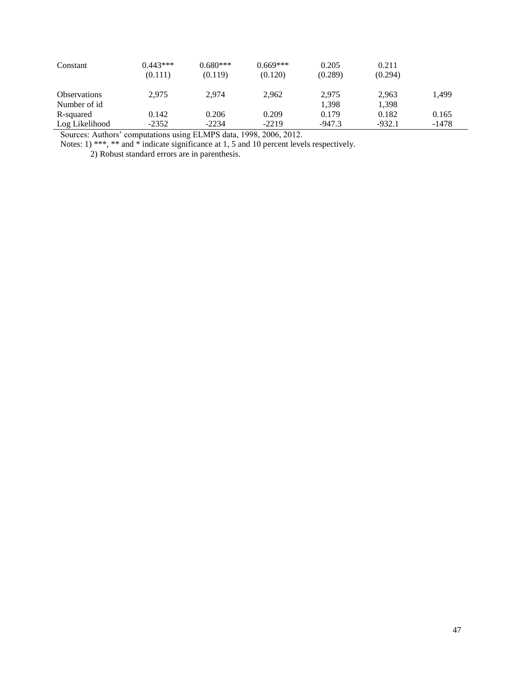| Constant            | $0.443***$<br>(0.111) | $0.680***$<br>(0.119) | $0.669***$<br>(0.120) | 0.205<br>(0.289) | 0.211<br>(0.294) |         |
|---------------------|-----------------------|-----------------------|-----------------------|------------------|------------------|---------|
| <b>Observations</b> | 2.975                 | 2.974                 | 2,962                 | 2.975            | 2.963            | 1,499   |
| Number of id        |                       |                       |                       | 1.398            | 1,398            |         |
| R-squared           | 0.142                 | 0.206                 | 0.209                 | 0.179            | 0.182            | 0.165   |
| Log Likelihood      | $-2352$               | $-2234$               | $-2219$               | $-947.3$         | $-932.1$         | $-1478$ |

Notes: 1) \*\*\*, \*\* and \* indicate significance at 1, 5 and 10 percent levels respectively.

2) Robust standard errors are in parenthesis.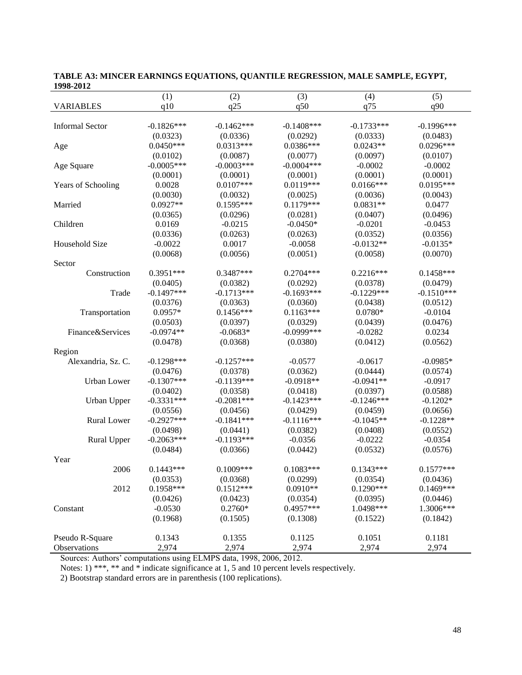| 1770-4014              |              |              |               |              |               |
|------------------------|--------------|--------------|---------------|--------------|---------------|
|                        | (1)          | (2)          | (3)           | (4)          | (5)           |
| <b>VARIABLES</b>       | q10          | q25          | q50           | q75          | q90           |
|                        |              |              |               |              |               |
| <b>Informal Sector</b> | $-0.1826***$ | $-0.1462***$ | $-0.1408$ *** | $-0.1733***$ | $-0.1996$ *** |
|                        | (0.0323)     | (0.0336)     | (0.0292)      | (0.0333)     | (0.0483)      |
| Age                    | $0.0450***$  | $0.0313***$  | $0.0386***$   | $0.0243**$   | $0.0296***$   |
|                        | (0.0102)     | (0.0087)     | (0.0077)      | (0.0097)     | (0.0107)      |
| Age Square             | $-0.0005***$ | $-0.0003***$ | $-0.0004$ *** | $-0.0002$    | $-0.0002$     |
|                        | (0.0001)     | (0.0001)     | (0.0001)      | (0.0001)     | (0.0001)      |
| Years of Schooling     | 0.0028       | $0.0107***$  | $0.0119***$   | $0.0166***$  | $0.0195***$   |
|                        | (0.0030)     | (0.0032)     | (0.0025)      | (0.0036)     | (0.0043)      |
| Married                | $0.0927**$   | $0.1595***$  | $0.1179***$   | $0.0831**$   | 0.0477        |
|                        | (0.0365)     | (0.0296)     | (0.0281)      | (0.0407)     | (0.0496)      |
| Children               | 0.0169       | $-0.0215$    | $-0.0450*$    | $-0.0201$    | $-0.0453$     |
|                        | (0.0336)     | (0.0263)     | (0.0263)      | (0.0352)     | (0.0356)      |
| Household Size         | $-0.0022$    | 0.0017       | $-0.0058$     | $-0.0132**$  | $-0.0135*$    |
|                        | (0.0068)     | (0.0056)     | (0.0051)      | (0.0058)     | (0.0070)      |
| Sector                 |              |              |               |              |               |
| Construction           | $0.3951***$  | 0.3487***    | $0.2704***$   | $0.2216***$  | $0.1458***$   |
|                        | (0.0405)     | (0.0382)     | (0.0292)      | (0.0378)     | (0.0479)      |
| Trade                  | $-0.1497***$ | $-0.1713***$ | $-0.1693***$  | $-0.1229***$ | $-0.1510***$  |
|                        | (0.0376)     | (0.0363)     | (0.0360)      | (0.0438)     | (0.0512)      |
| Transportation         | $0.0957*$    | $0.1456***$  | $0.1163***$   | $0.0780*$    | $-0.0104$     |
|                        | (0.0503)     | (0.0397)     | (0.0329)      | (0.0439)     | (0.0476)      |
| Finance&Services       | $-0.0974**$  | $-0.0683*$   | $-0.0999$ *** | $-0.0282$    | 0.0234        |
|                        | (0.0478)     | (0.0368)     | (0.0380)      | (0.0412)     | (0.0562)      |
| Region                 |              |              |               |              |               |
| Alexandria, Sz. C.     | $-0.1298***$ | $-0.1257***$ | $-0.0577$     | $-0.0617$    | $-0.0985*$    |
|                        | (0.0476)     | (0.0378)     | (0.0362)      | (0.0444)     | (0.0574)      |
| <b>Urban</b> Lower     | $-0.1307***$ | $-0.1139***$ | $-0.0918**$   | $-0.0941**$  | $-0.0917$     |
|                        | (0.0402)     | (0.0358)     | (0.0418)      | (0.0397)     | (0.0588)      |
| Urban Upper            | $-0.3331***$ | $-0.2081***$ | $-0.1423***$  | $-0.1246***$ | $-0.1202*$    |
|                        | (0.0556)     | (0.0456)     | (0.0429)      | (0.0459)     | (0.0656)      |
| <b>Rural Lower</b>     | $-0.2927***$ | $-0.1841***$ | $-0.1116***$  | $-0.1045**$  | $-0.1228**$   |
|                        | (0.0498)     | (0.0441)     | (0.0382)      | (0.0408)     | (0.0552)      |
| Rural Upper            | $-0.2063***$ | $-0.1193***$ | $-0.0356$     | $-0.0222$    | $-0.0354$     |
|                        | (0.0484)     | (0.0366)     | (0.0442)      | (0.0532)     | (0.0576)      |
| Year                   |              |              |               |              |               |
| 2006                   | $0.1443***$  | $0.1009***$  | $0.1083***$   | $0.1343***$  | $0.1577***$   |
|                        | (0.0353)     | (0.0368)     | (0.0299)      | (0.0354)     | (0.0436)      |
| 2012                   | 0.1958***    | $0.1512***$  | $0.0910**$    | $0.1290***$  | $0.1469***$   |
|                        | (0.0426)     | (0.0423)     | (0.0354)      | (0.0395)     | (0.0446)      |
| Constant               | $-0.0530$    | $0.2760*$    | $0.4957***$   | 1.0498***    | 1.3006***     |
|                        | (0.1968)     | (0.1505)     | (0.1308)      | (0.1522)     | (0.1842)      |
| Pseudo R-Square        | 0.1343       | 0.1355       | 0.1125        | 0.1051       | 0.1181        |
| Observations           | 2,974        | 2,974        | 2,974         | 2,974        | 2,974         |
|                        |              |              |               |              |               |

**TABLE A3: MINCER EARNINGS EQUATIONS, QUANTILE REGRESSION, MALE SAMPLE, EGYPT, 1998-2012**

Notes: 1) \*\*\*, \*\* and \* indicate significance at 1, 5 and 10 percent levels respectively.

2) Bootstrap standard errors are in parenthesis (100 replications).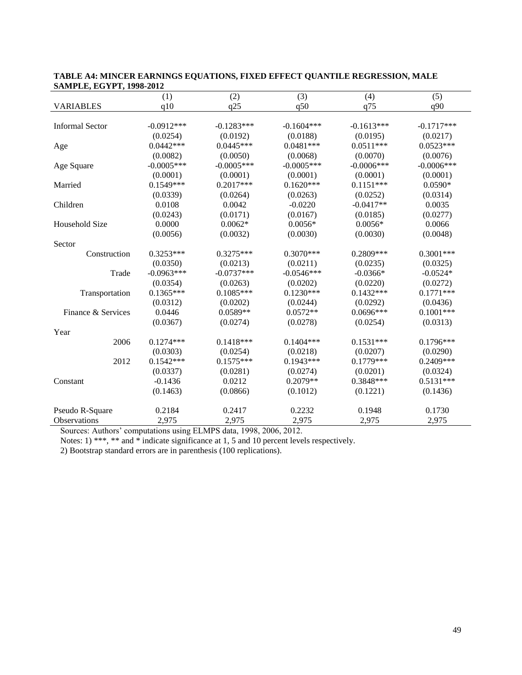| 07.011 LE, EU 11 1, 1770-2012 |              |              |              |               |              |
|-------------------------------|--------------|--------------|--------------|---------------|--------------|
|                               | (1)          | (2)          | (3)          | (4)           | (5)          |
| <b>VARIABLES</b>              | q10          | q25          | q50          | q75           | q90          |
|                               |              |              |              |               |              |
| <b>Informal Sector</b>        | $-0.0912***$ | $-0.1283***$ | $-0.1604***$ | $-0.1613***$  | $-0.1717***$ |
|                               | (0.0254)     | (0.0192)     | (0.0188)     | (0.0195)      | (0.0217)     |
| Age                           | $0.0442***$  | $0.0445***$  | $0.0481***$  | $0.0511***$   | $0.0523***$  |
|                               | (0.0082)     | (0.0050)     | (0.0068)     | (0.0070)      | (0.0076)     |
| Age Square                    | $-0.0005***$ | $-0.0005***$ | $-0.0005***$ | $-0.0006$ *** | $-0.0006***$ |
|                               | (0.0001)     | (0.0001)     | (0.0001)     | (0.0001)      | (0.0001)     |
| Married                       | $0.1549***$  | $0.2017***$  | $0.1620***$  | $0.1151***$   | $0.0590*$    |
|                               | (0.0339)     | (0.0264)     | (0.0263)     | (0.0252)      | (0.0314)     |
| Children                      | 0.0108       | 0.0042       | $-0.0220$    | $-0.0417**$   | 0.0035       |
|                               | (0.0243)     | (0.0171)     | (0.0167)     | (0.0185)      | (0.0277)     |
| Household Size                | 0.0000       | $0.0062*$    | $0.0056*$    | $0.0056*$     | 0.0066       |
|                               | (0.0056)     | (0.0032)     | (0.0030)     | (0.0030)      | (0.0048)     |
| Sector                        |              |              |              |               |              |
| Construction                  | $0.3253***$  | $0.3275***$  | $0.3070***$  | 0.2809***     | $0.3001***$  |
|                               | (0.0350)     | (0.0213)     | (0.0211)     | (0.0235)      | (0.0325)     |
| Trade                         | $-0.0963***$ | $-0.0737***$ | $-0.0546***$ | $-0.0366*$    | $-0.0524*$   |
|                               | (0.0354)     | (0.0263)     | (0.0202)     | (0.0220)      | (0.0272)     |
| Transportation                | $0.1365***$  | $0.1085***$  | $0.1230***$  | $0.1432***$   | $0.1771***$  |
|                               | (0.0312)     | (0.0202)     | (0.0244)     | (0.0292)      | (0.0436)     |
| Finance & Services            | 0.0446       | $0.0589**$   | $0.0572**$   | $0.0696***$   | $0.1001***$  |
|                               | (0.0367)     | (0.0274)     | (0.0278)     | (0.0254)      | (0.0313)     |
| Year                          |              |              |              |               |              |
| 2006                          | $0.1274***$  | $0.1418***$  | $0.1404***$  | $0.1531***$   | $0.1796***$  |
|                               | (0.0303)     | (0.0254)     | (0.0218)     | (0.0207)      | (0.0290)     |
| 2012                          | $0.1542***$  | $0.1575***$  | $0.1943***$  | $0.1779***$   | $0.2409***$  |
|                               | (0.0337)     | (0.0281)     | (0.0274)     | (0.0201)      | (0.0324)     |
| Constant                      | $-0.1436$    | 0.0212       | $0.2079**$   | 0.3848***     | $0.5131***$  |
|                               | (0.1463)     | (0.0866)     | (0.1012)     | (0.1221)      | (0.1436)     |
| Pseudo R-Square               | 0.2184       | 0.2417       | 0.2232       | 0.1948        | 0.1730       |
| <b>Observations</b>           | 2,975        | 2,975        | 2.975        | 2,975         | 2,975        |

|                                 | TABLE A4: MINCER EARNINGS EQUATIONS, FIXED EFFECT QUANTILE REGRESSION, MALE |
|---------------------------------|-----------------------------------------------------------------------------|
| <b>SAMPLE, EGYPT, 1998-2012</b> |                                                                             |

Notes: 1) \*\*\*, \*\* and \* indicate significance at 1, 5 and 10 percent levels respectively.

2) Bootstrap standard errors are in parenthesis (100 replications).